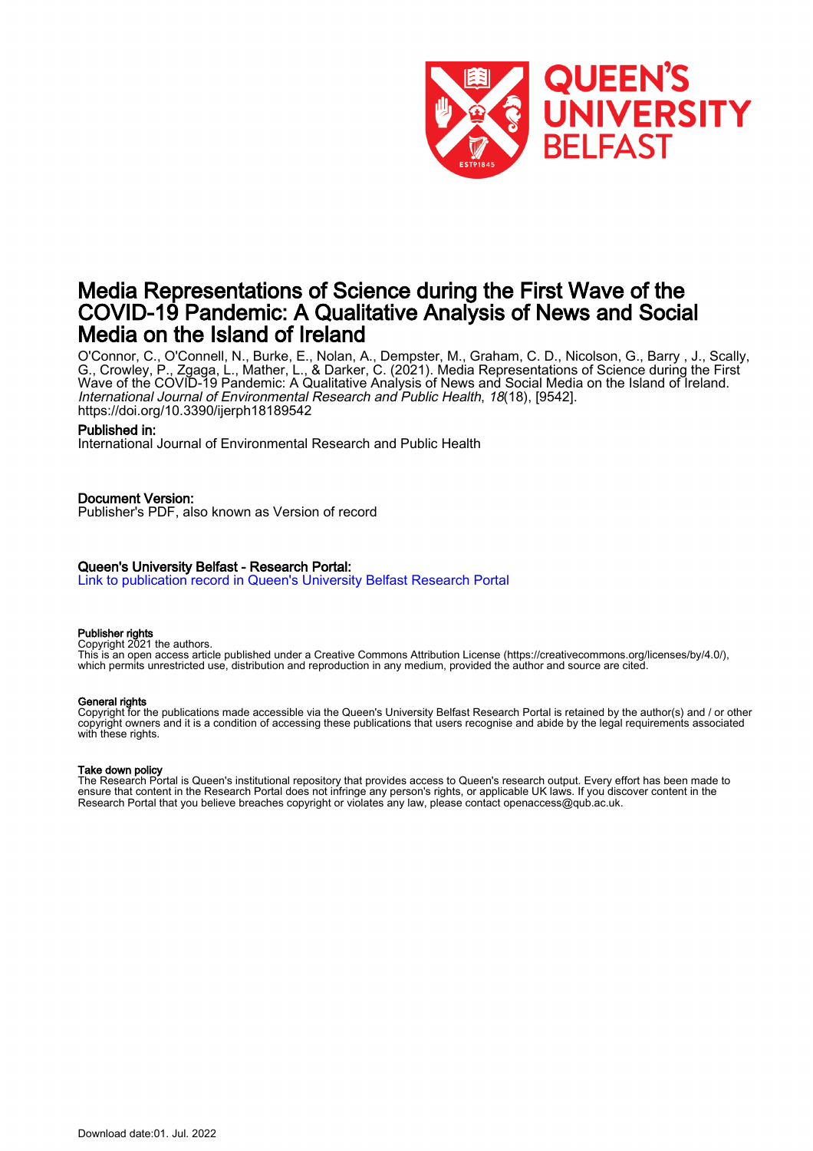

# Media Representations of Science during the First Wave of the COVID-19 Pandemic: A Qualitative Analysis of News and Social Media on the Island of Ireland

O'Connor, C., O'Connell, N., Burke, E., Nolan, A., Dempster, M., Graham, C. D., Nicolson, G., Barry , J., Scally, G., Crowley, P., Zgaga, L., Mather, L., & Darker, C. (2021). Media Representations of Science during the First Wave of the COVID-19 Pandemic: A Qualitative Analysis of News and Social Media on the Island of Ireland. International Journal of Environmental Research and Public Health, 18(18), [9542]. <https://doi.org/10.3390/ijerph18189542>

#### Published in:

International Journal of Environmental Research and Public Health

#### Document Version:

Publisher's PDF, also known as Version of record

#### Queen's University Belfast - Research Portal:

[Link to publication record in Queen's University Belfast Research Portal](https://pure.qub.ac.uk/en/publications/7ccff37e-1f23-406c-adf9-ba9d64ba0585)

#### Publisher rights

Copyright 2021 the authors.

This is an open access article published under a Creative Commons Attribution License (https://creativecommons.org/licenses/by/4.0/), which permits unrestricted use, distribution and reproduction in any medium, provided the author and source are cited.

#### General rights

Copyright for the publications made accessible via the Queen's University Belfast Research Portal is retained by the author(s) and / or other copyright owners and it is a condition of accessing these publications that users recognise and abide by the legal requirements associated with these rights.

#### Take down policy

The Research Portal is Queen's institutional repository that provides access to Queen's research output. Every effort has been made to ensure that content in the Research Portal does not infringe any person's rights, or applicable UK laws. If you discover content in the Research Portal that you believe breaches copyright or violates any law, please contact openaccess@qub.ac.uk.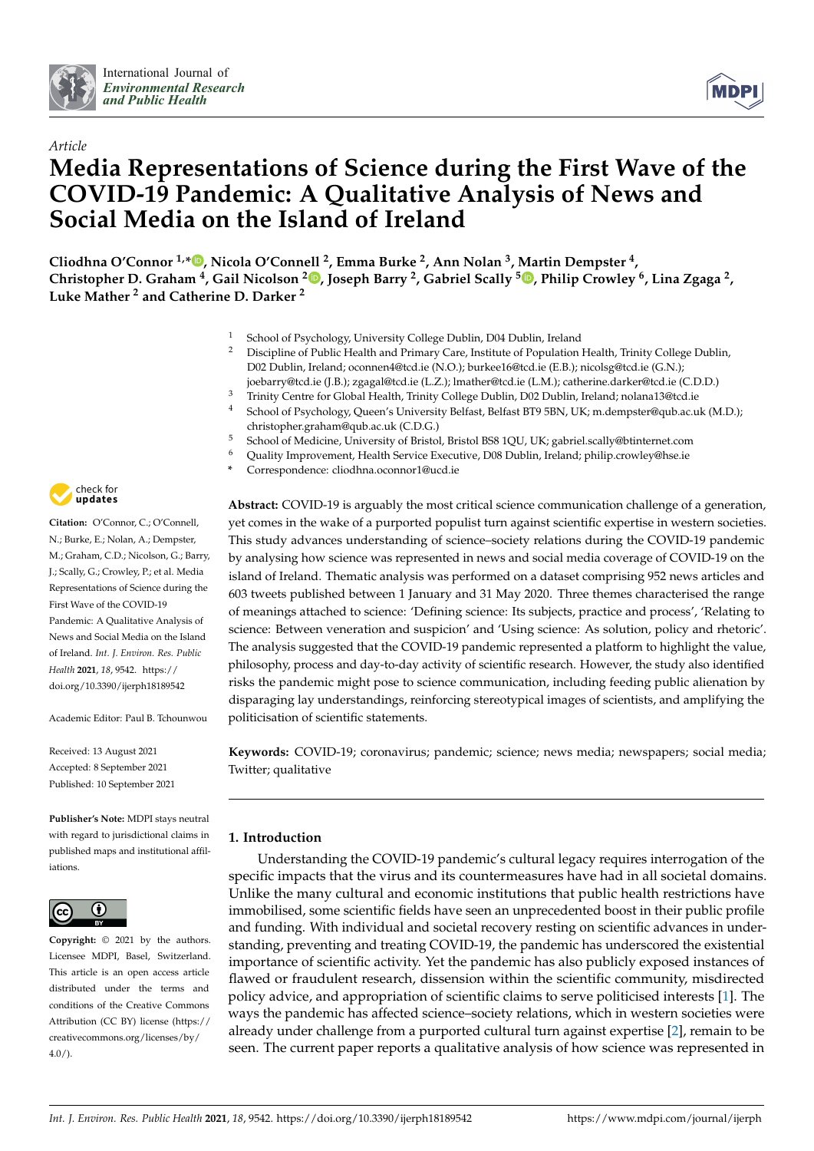



# *Article* **Media Representations of Science during the First Wave of the COVID-19 Pandemic: A Qualitative Analysis of News and Social Media on the Island of Ireland**

**Cliodhna O'Connor 1,[\\*](https://orcid.org/0000-0001-8134-075X) , Nicola O'Connell <sup>2</sup> , Emma Burke <sup>2</sup> , Ann Nolan <sup>3</sup> , Martin Dempster <sup>4</sup> , Christopher D. Graham <sup>4</sup> , Gail Nicolson <sup>2</sup> [,](https://orcid.org/0000-0002-5580-8635) Joseph Barry <sup>2</sup> , Gabriel Scally <sup>5</sup> [,](https://orcid.org/0000-0001-6944-6076) Philip Crowley <sup>6</sup> , Lina Zgaga <sup>2</sup> , Luke Mather <sup>2</sup> and Catherine D. Darker <sup>2</sup>**

- <sup>1</sup> School of Psychology, University College Dublin, D04 Dublin, Ireland<br><sup>2</sup> Discipline of Public Hoalth and Primary Care, Institute of Population
- <sup>2</sup> Discipline of Public Health and Primary Care, Institute of Population Health, Trinity College Dublin, D02 Dublin, Ireland; oconnen4@tcd.ie (N.O.); burkee16@tcd.ie (E.B.); nicolsg@tcd.ie (G.N.); joebarry@tcd.ie (J.B.); zgagal@tcd.ie (L.Z.); lmather@tcd.ie (L.M.); catherine.darker@tcd.ie (C.D.D.)
- <sup>3</sup> Trinity Centre for Global Health, Trinity College Dublin, D02 Dublin, Ireland; nolana13@tcd.ie
- <sup>4</sup> School of Psychology, Queen's University Belfast, Belfast BT9 5BN, UK; m.dempster@qub.ac.uk (M.D.); christopher.graham@qub.ac.uk (C.D.G.)
- <sup>5</sup> School of Medicine, University of Bristol, Bristol BS8 1QU, UK; gabriel.scally@btinternet.com
- Quality Improvement, Health Service Executive, D08 Dublin, Ireland; philip.crowley@hse.ie
- **\*** Correspondence: cliodhna.oconnor1@ucd.ie

**Abstract:** COVID-19 is arguably the most critical science communication challenge of a generation, yet comes in the wake of a purported populist turn against scientific expertise in western societies. This study advances understanding of science–society relations during the COVID-19 pandemic by analysing how science was represented in news and social media coverage of COVID-19 on the island of Ireland. Thematic analysis was performed on a dataset comprising 952 news articles and 603 tweets published between 1 January and 31 May 2020. Three themes characterised the range of meanings attached to science: 'Defining science: Its subjects, practice and process', 'Relating to science: Between veneration and suspicion' and 'Using science: As solution, policy and rhetoric'. The analysis suggested that the COVID-19 pandemic represented a platform to highlight the value, philosophy, process and day-to-day activity of scientific research. However, the study also identified risks the pandemic might pose to science communication, including feeding public alienation by disparaging lay understandings, reinforcing stereotypical images of scientists, and amplifying the politicisation of scientific statements.

**Keywords:** COVID-19; coronavirus; pandemic; science; news media; newspapers; social media; Twitter; qualitative

# **1. Introduction**

Understanding the COVID-19 pandemic's cultural legacy requires interrogation of the specific impacts that the virus and its countermeasures have had in all societal domains. Unlike the many cultural and economic institutions that public health restrictions have immobilised, some scientific fields have seen an unprecedented boost in their public profile and funding. With individual and societal recovery resting on scientific advances in understanding, preventing and treating COVID-19, the pandemic has underscored the existential importance of scientific activity. Yet the pandemic has also publicly exposed instances of flawed or fraudulent research, dissension within the scientific community, misdirected policy advice, and appropriation of scientific claims to serve politicised interests [\[1\]](#page-19-0). The ways the pandemic has affected science–society relations, which in western societies were already under challenge from a purported cultural turn against expertise [\[2\]](#page-19-1), remain to be seen. The current paper reports a qualitative analysis of how science was represented in



**Citation:** O'Connor, C.; O'Connell, N.; Burke, E.; Nolan, A.; Dempster, M.; Graham, C.D.; Nicolson, G.; Barry, J.; Scally, G.; Crowley, P.; et al. Media Representations of Science during the First Wave of the COVID-19 Pandemic: A Qualitative Analysis of News and Social Media on the Island of Ireland. *Int. J. Environ. Res. Public Health* **2021**, *18*, 9542. [https://](https://doi.org/10.3390/ijerph18189542) [doi.org/10.3390/ijerph18189542](https://doi.org/10.3390/ijerph18189542)

Academic Editor: Paul B. Tchounwou

Received: 13 August 2021 Accepted: 8 September 2021 Published: 10 September 2021

**Publisher's Note:** MDPI stays neutral with regard to jurisdictional claims in published maps and institutional affiliations.



**Copyright:** © 2021 by the authors. Licensee MDPI, Basel, Switzerland. This article is an open access article distributed under the terms and conditions of the Creative Commons Attribution (CC BY) license (https:/[/](https://creativecommons.org/licenses/by/4.0/) [creativecommons.org/licenses/by/](https://creativecommons.org/licenses/by/4.0/)  $4.0/$ ).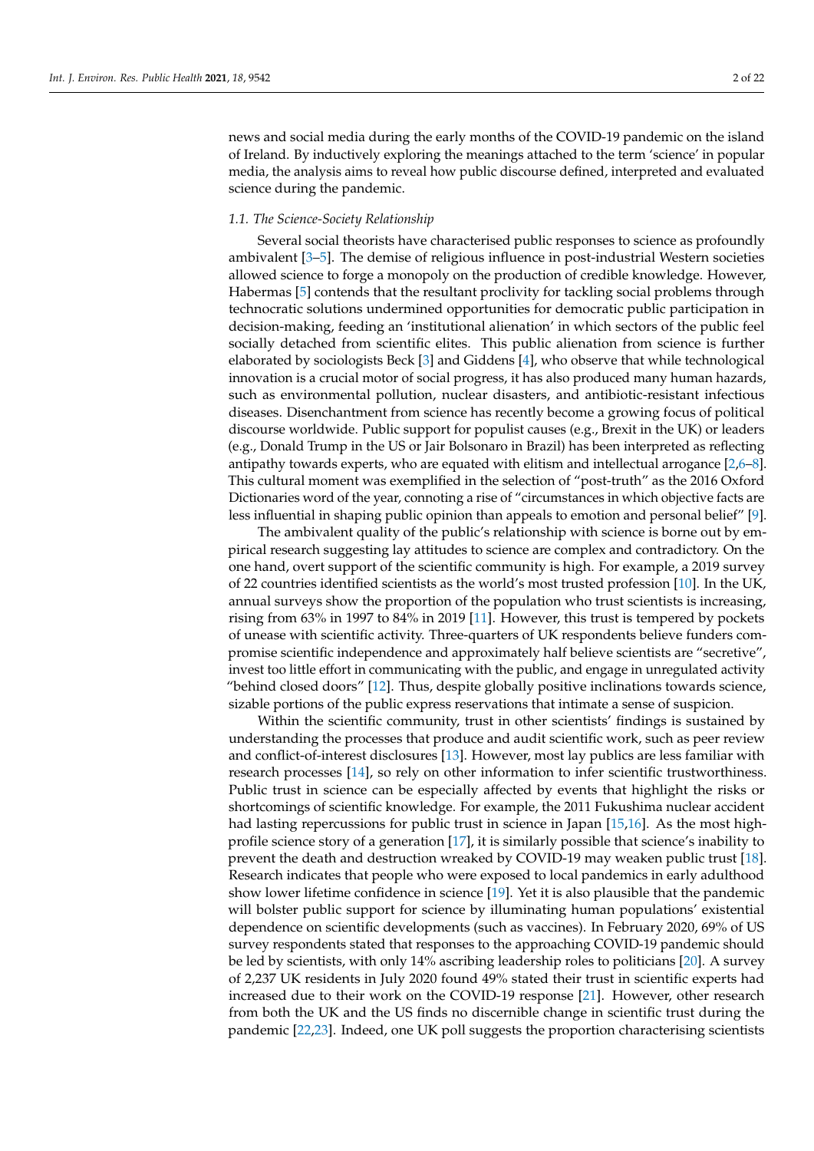news and social media during the early months of the COVID-19 pandemic on the island of Ireland. By inductively exploring the meanings attached to the term 'science' in popular media, the analysis aims to reveal how public discourse defined, interpreted and evaluated science during the pandemic.

#### *1.1. The Science-Society Relationship*

Several social theorists have characterised public responses to science as profoundly ambivalent [\[3–](#page-19-2)[5\]](#page-19-3). The demise of religious influence in post-industrial Western societies allowed science to forge a monopoly on the production of credible knowledge. However, Habermas [\[5\]](#page-19-3) contends that the resultant proclivity for tackling social problems through technocratic solutions undermined opportunities for democratic public participation in decision-making, feeding an 'institutional alienation' in which sectors of the public feel socially detached from scientific elites. This public alienation from science is further elaborated by sociologists Beck [\[3\]](#page-19-2) and Giddens [\[4\]](#page-19-4), who observe that while technological innovation is a crucial motor of social progress, it has also produced many human hazards, such as environmental pollution, nuclear disasters, and antibiotic-resistant infectious diseases. Disenchantment from science has recently become a growing focus of political discourse worldwide. Public support for populist causes (e.g., Brexit in the UK) or leaders (e.g., Donald Trump in the US or Jair Bolsonaro in Brazil) has been interpreted as reflecting antipathy towards experts, who are equated with elitism and intellectual arrogance [\[2](#page-19-1)[,6](#page-19-5)[–8\]](#page-19-6). This cultural moment was exemplified in the selection of "post-truth" as the 2016 Oxford Dictionaries word of the year, connoting a rise of "circumstances in which objective facts are less influential in shaping public opinion than appeals to emotion and personal belief" [\[9\]](#page-19-7).

The ambivalent quality of the public's relationship with science is borne out by empirical research suggesting lay attitudes to science are complex and contradictory. On the one hand, overt support of the scientific community is high. For example, a 2019 survey of 22 countries identified scientists as the world's most trusted profession [\[10\]](#page-19-8). In the UK, annual surveys show the proportion of the population who trust scientists is increasing, rising from 63% in 1997 to 84% in 2019 [\[11\]](#page-19-9). However, this trust is tempered by pockets of unease with scientific activity. Three-quarters of UK respondents believe funders compromise scientific independence and approximately half believe scientists are "secretive", invest too little effort in communicating with the public, and engage in unregulated activity "behind closed doors" [\[12\]](#page-19-10). Thus, despite globally positive inclinations towards science, sizable portions of the public express reservations that intimate a sense of suspicion.

Within the scientific community, trust in other scientists' findings is sustained by understanding the processes that produce and audit scientific work, such as peer review and conflict-of-interest disclosures [\[13\]](#page-19-11). However, most lay publics are less familiar with research processes [\[14\]](#page-19-12), so rely on other information to infer scientific trustworthiness. Public trust in science can be especially affected by events that highlight the risks or shortcomings of scientific knowledge. For example, the 2011 Fukushima nuclear accident had lasting repercussions for public trust in science in Japan [\[15](#page-20-0)[,16\]](#page-20-1). As the most highprofile science story of a generation [\[17\]](#page-20-2), it is similarly possible that science's inability to prevent the death and destruction wreaked by COVID-19 may weaken public trust [\[18\]](#page-20-3). Research indicates that people who were exposed to local pandemics in early adulthood show lower lifetime confidence in science [\[19\]](#page-20-4). Yet it is also plausible that the pandemic will bolster public support for science by illuminating human populations' existential dependence on scientific developments (such as vaccines). In February 2020, 69% of US survey respondents stated that responses to the approaching COVID-19 pandemic should be led by scientists, with only 14% ascribing leadership roles to politicians [\[20\]](#page-20-5). A survey of 2,237 UK residents in July 2020 found 49% stated their trust in scientific experts had increased due to their work on the COVID-19 response [\[21\]](#page-20-6). However, other research from both the UK and the US finds no discernible change in scientific trust during the pandemic [\[22,](#page-20-7)[23\]](#page-20-8). Indeed, one UK poll suggests the proportion characterising scientists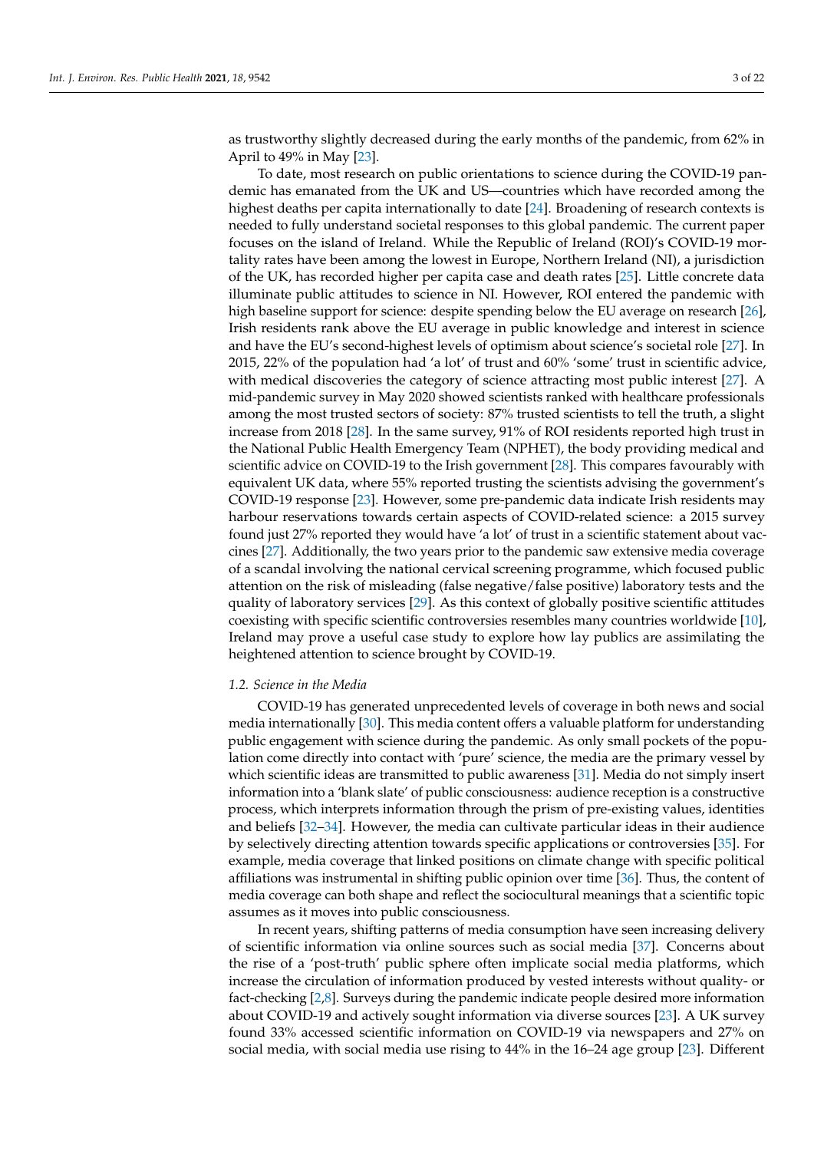as trustworthy slightly decreased during the early months of the pandemic, from 62% in April to 49% in May [\[23\]](#page-20-8).

To date, most research on public orientations to science during the COVID-19 pandemic has emanated from the UK and US—countries which have recorded among the highest deaths per capita internationally to date [\[24\]](#page-20-9). Broadening of research contexts is needed to fully understand societal responses to this global pandemic. The current paper focuses on the island of Ireland. While the Republic of Ireland (ROI)'s COVID-19 mortality rates have been among the lowest in Europe, Northern Ireland (NI), a jurisdiction of the UK, has recorded higher per capita case and death rates [\[25\]](#page-20-10). Little concrete data illuminate public attitudes to science in NI. However, ROI entered the pandemic with high baseline support for science: despite spending below the EU average on research [\[26\]](#page-20-11), Irish residents rank above the EU average in public knowledge and interest in science and have the EU's second-highest levels of optimism about science's societal role [\[27\]](#page-20-12). In 2015, 22% of the population had 'a lot' of trust and 60% 'some' trust in scientific advice, with medical discoveries the category of science attracting most public interest [\[27\]](#page-20-12). A mid-pandemic survey in May 2020 showed scientists ranked with healthcare professionals among the most trusted sectors of society: 87% trusted scientists to tell the truth, a slight increase from 2018 [\[28\]](#page-20-13). In the same survey, 91% of ROI residents reported high trust in the National Public Health Emergency Team (NPHET), the body providing medical and scientific advice on COVID-19 to the Irish government [\[28\]](#page-20-13). This compares favourably with equivalent UK data, where 55% reported trusting the scientists advising the government's COVID-19 response [\[23\]](#page-20-8). However, some pre-pandemic data indicate Irish residents may harbour reservations towards certain aspects of COVID-related science: a 2015 survey found just 27% reported they would have 'a lot' of trust in a scientific statement about vaccines [\[27\]](#page-20-12). Additionally, the two years prior to the pandemic saw extensive media coverage of a scandal involving the national cervical screening programme, which focused public attention on the risk of misleading (false negative/false positive) laboratory tests and the quality of laboratory services [\[29\]](#page-20-14). As this context of globally positive scientific attitudes coexisting with specific scientific controversies resembles many countries worldwide [\[10\]](#page-19-8), Ireland may prove a useful case study to explore how lay publics are assimilating the heightened attention to science brought by COVID-19.

#### *1.2. Science in the Media*

COVID-19 has generated unprecedented levels of coverage in both news and social media internationally [\[30\]](#page-20-15). This media content offers a valuable platform for understanding public engagement with science during the pandemic. As only small pockets of the population come directly into contact with 'pure' science, the media are the primary vessel by which scientific ideas are transmitted to public awareness [\[31\]](#page-20-16). Media do not simply insert information into a 'blank slate' of public consciousness: audience reception is a constructive process, which interprets information through the prism of pre-existing values, identities and beliefs [\[32](#page-20-17)[–34\]](#page-20-18). However, the media can cultivate particular ideas in their audience by selectively directing attention towards specific applications or controversies [\[35\]](#page-20-19). For example, media coverage that linked positions on climate change with specific political affiliations was instrumental in shifting public opinion over time [\[36\]](#page-20-20). Thus, the content of media coverage can both shape and reflect the sociocultural meanings that a scientific topic assumes as it moves into public consciousness.

In recent years, shifting patterns of media consumption have seen increasing delivery of scientific information via online sources such as social media [\[37\]](#page-20-21). Concerns about the rise of a 'post-truth' public sphere often implicate social media platforms, which increase the circulation of information produced by vested interests without quality- or fact-checking [\[2](#page-19-1)[,8\]](#page-19-6). Surveys during the pandemic indicate people desired more information about COVID-19 and actively sought information via diverse sources [\[23\]](#page-20-8). A UK survey found 33% accessed scientific information on COVID-19 via newspapers and 27% on social media, with social media use rising to 44% in the 16–24 age group [\[23\]](#page-20-8). Different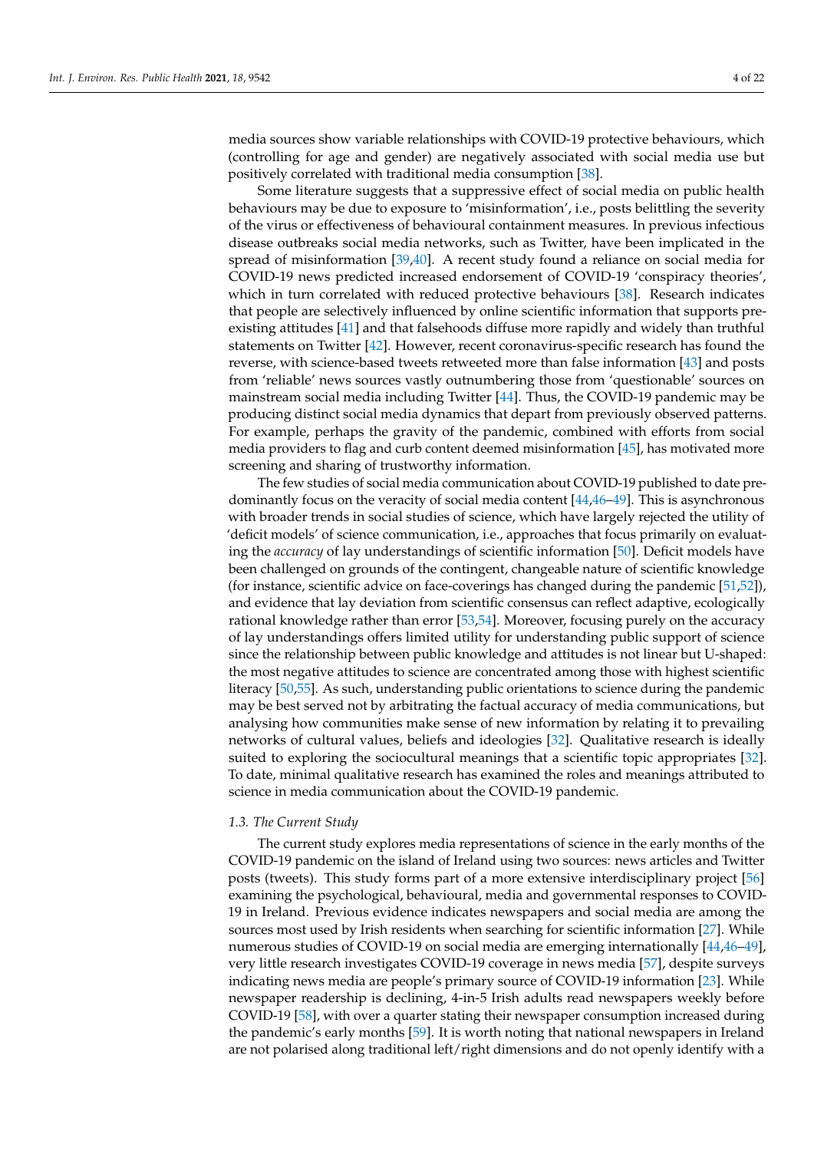media sources show variable relationships with COVID-19 protective behaviours, which (controlling for age and gender) are negatively associated with social media use but positively correlated with traditional media consumption [\[38\]](#page-20-22).

Some literature suggests that a suppressive effect of social media on public health behaviours may be due to exposure to 'misinformation', i.e., posts belittling the severity of the virus or effectiveness of behavioural containment measures. In previous infectious disease outbreaks social media networks, such as Twitter, have been implicated in the spread of misinformation [\[39](#page-20-23)[,40\]](#page-20-24). A recent study found a reliance on social media for COVID-19 news predicted increased endorsement of COVID-19 'conspiracy theories', which in turn correlated with reduced protective behaviours [\[38\]](#page-20-22). Research indicates that people are selectively influenced by online scientific information that supports preexisting attitudes [\[41\]](#page-20-25) and that falsehoods diffuse more rapidly and widely than truthful statements on Twitter [\[42\]](#page-20-26). However, recent coronavirus-specific research has found the reverse, with science-based tweets retweeted more than false information [\[43\]](#page-20-27) and posts from 'reliable' news sources vastly outnumbering those from 'questionable' sources on mainstream social media including Twitter [\[44\]](#page-20-28). Thus, the COVID-19 pandemic may be producing distinct social media dynamics that depart from previously observed patterns. For example, perhaps the gravity of the pandemic, combined with efforts from social media providers to flag and curb content deemed misinformation [\[45\]](#page-20-29), has motivated more screening and sharing of trustworthy information.

The few studies of social media communication about COVID-19 published to date predominantly focus on the veracity of social media content [\[44](#page-20-28)[,46](#page-20-30)[–49\]](#page-21-0). This is asynchronous with broader trends in social studies of science, which have largely rejected the utility of 'deficit models' of science communication, i.e., approaches that focus primarily on evaluating the *accuracy* of lay understandings of scientific information [\[50\]](#page-21-1). Deficit models have been challenged on grounds of the contingent, changeable nature of scientific knowledge (for instance, scientific advice on face-coverings has changed during the pandemic [\[51,](#page-21-2)[52\]](#page-21-3)), and evidence that lay deviation from scientific consensus can reflect adaptive, ecologically rational knowledge rather than error [\[53](#page-21-4)[,54\]](#page-21-5). Moreover, focusing purely on the accuracy of lay understandings offers limited utility for understanding public support of science since the relationship between public knowledge and attitudes is not linear but U-shaped: the most negative attitudes to science are concentrated among those with highest scientific literacy [\[50](#page-21-1)[,55\]](#page-21-6). As such, understanding public orientations to science during the pandemic may be best served not by arbitrating the factual accuracy of media communications, but analysing how communities make sense of new information by relating it to prevailing networks of cultural values, beliefs and ideologies [\[32\]](#page-20-17). Qualitative research is ideally suited to exploring the sociocultural meanings that a scientific topic appropriates [\[32\]](#page-20-17). To date, minimal qualitative research has examined the roles and meanings attributed to science in media communication about the COVID-19 pandemic.

#### *1.3. The Current Study*

The current study explores media representations of science in the early months of the COVID-19 pandemic on the island of Ireland using two sources: news articles and Twitter posts (tweets). This study forms part of a more extensive interdisciplinary project [\[56\]](#page-21-7) examining the psychological, behavioural, media and governmental responses to COVID-19 in Ireland. Previous evidence indicates newspapers and social media are among the sources most used by Irish residents when searching for scientific information [\[27\]](#page-20-12). While numerous studies of COVID-19 on social media are emerging internationally [\[44,](#page-20-28)[46–](#page-20-30)[49\]](#page-21-0), very little research investigates COVID-19 coverage in news media [\[57\]](#page-21-8), despite surveys indicating news media are people's primary source of COVID-19 information [\[23\]](#page-20-8). While newspaper readership is declining, 4-in-5 Irish adults read newspapers weekly before COVID-19 [\[58\]](#page-21-9), with over a quarter stating their newspaper consumption increased during the pandemic's early months [\[59\]](#page-21-10). It is worth noting that national newspapers in Ireland are not polarised along traditional left/right dimensions and do not openly identify with a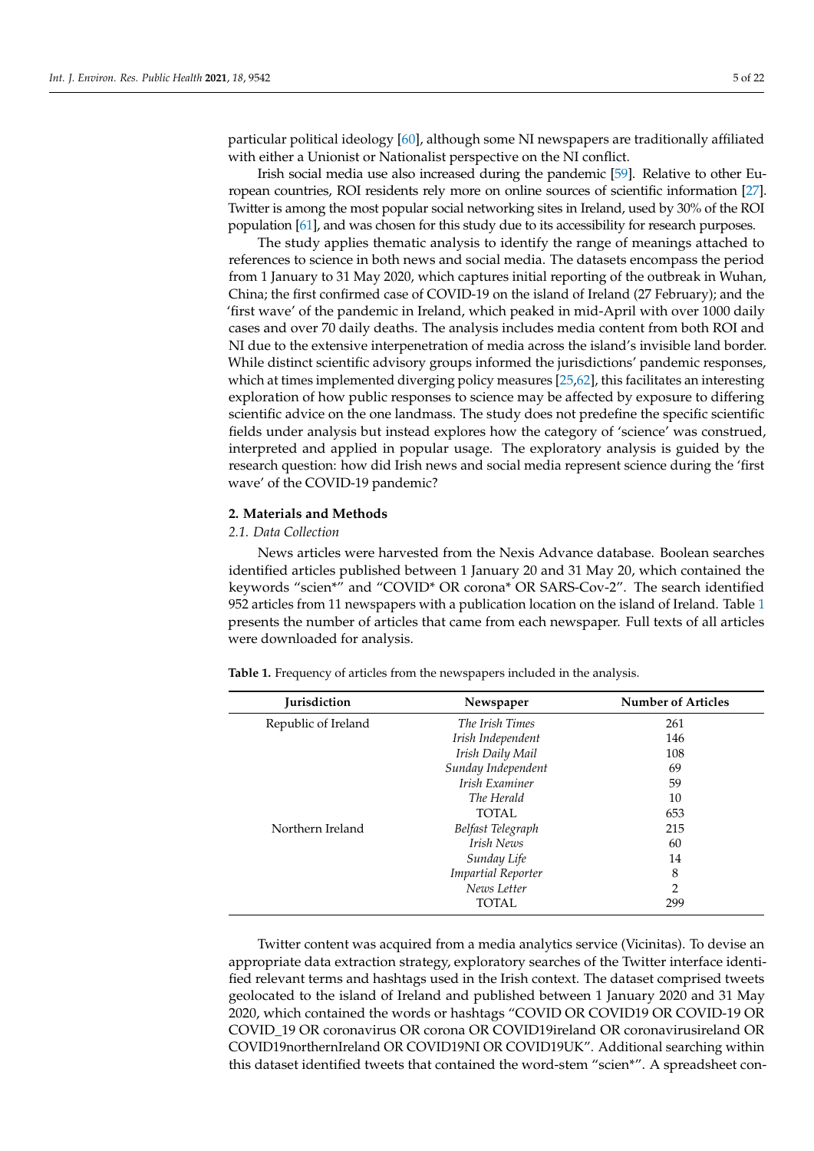particular political ideology [\[60\]](#page-21-11), although some NI newspapers are traditionally affiliated with either a Unionist or Nationalist perspective on the NI conflict.

Irish social media use also increased during the pandemic [\[59\]](#page-21-10). Relative to other European countries, ROI residents rely more on online sources of scientific information [\[27\]](#page-20-12). Twitter is among the most popular social networking sites in Ireland, used by 30% of the ROI population [\[61\]](#page-21-12), and was chosen for this study due to its accessibility for research purposes.

The study applies thematic analysis to identify the range of meanings attached to references to science in both news and social media. The datasets encompass the period from 1 January to 31 May 2020, which captures initial reporting of the outbreak in Wuhan, China; the first confirmed case of COVID-19 on the island of Ireland (27 February); and the 'first wave' of the pandemic in Ireland, which peaked in mid-April with over 1000 daily cases and over 70 daily deaths. The analysis includes media content from both ROI and NI due to the extensive interpenetration of media across the island's invisible land border. While distinct scientific advisory groups informed the jurisdictions' pandemic responses, which at times implemented diverging policy measures [\[25,](#page-20-10)[62\]](#page-21-13), this facilitates an interesting exploration of how public responses to science may be affected by exposure to differing scientific advice on the one landmass. The study does not predefine the specific scientific fields under analysis but instead explores how the category of 'science' was construed, interpreted and applied in popular usage. The exploratory analysis is guided by the research question: how did Irish news and social media represent science during the 'first wave' of the COVID-19 pandemic?

#### **2. Materials and Methods**

#### *2.1. Data Collection*

News articles were harvested from the Nexis Advance database. Boolean searches identified articles published between 1 January 20 and 31 May 20, which contained the keywords "scien\*" and "COVID\* OR corona\* OR SARS-Cov-2". The search identified 952 articles from 11 newspapers with a publication location on the island of Ireland. Table [1](#page-5-0) presents the number of articles that came from each newspaper. Full texts of all articles were downloaded for analysis.

**Jurisdiction Newspaper Number of Articles** Republic of Ireland *The Irish Times* 261 *Irish Independent* 146 *Irish Daily Mail* 108 *Sunday Independent* 69 *Irish Examiner* 59 *The Herald* 10 TOTAL 653 Northern Ireland *Belfast Telegraph* 215 *Irish News* 60

<span id="page-5-0"></span>**Table 1.** Frequency of articles from the newspapers included in the analysis.

Twitter content was acquired from a media analytics service (Vicinitas). To devise an appropriate data extraction strategy, exploratory searches of the Twitter interface identified relevant terms and hashtags used in the Irish context. The dataset comprised tweets geolocated to the island of Ireland and published between 1 January 2020 and 31 May 2020, which contained the words or hashtags "COVID OR COVID19 OR COVID-19 OR COVID\_19 OR coronavirus OR corona OR COVID19ireland OR coronavirusireland OR COVID19northernIreland OR COVID19NI OR COVID19UK". Additional searching within this dataset identified tweets that contained the word-stem "scien\*". A spreadsheet con-

| <b>Iurisdiction</b> | Newspaper                 | <b>Number of Articles</b> |
|---------------------|---------------------------|---------------------------|
| Republic of Ireland | The Irish Times           | 261                       |
|                     | Irish Independent         | 146                       |
|                     | Irish Daily Mail          | 108                       |
|                     | Sunday Independent        | 69                        |
|                     | Irish Examiner            | 59                        |
|                     | The Herald                | 10                        |
|                     | TOTAL                     | 653                       |
| Northern Ireland    | Belfast Telegraph         | 215                       |
|                     | Irish News                | 60                        |
|                     | Sunday Life               | 14                        |
|                     | <b>Impartial Reporter</b> | 8                         |
|                     | News Letter               | $\overline{2}$            |
|                     | TOTAL                     | 299                       |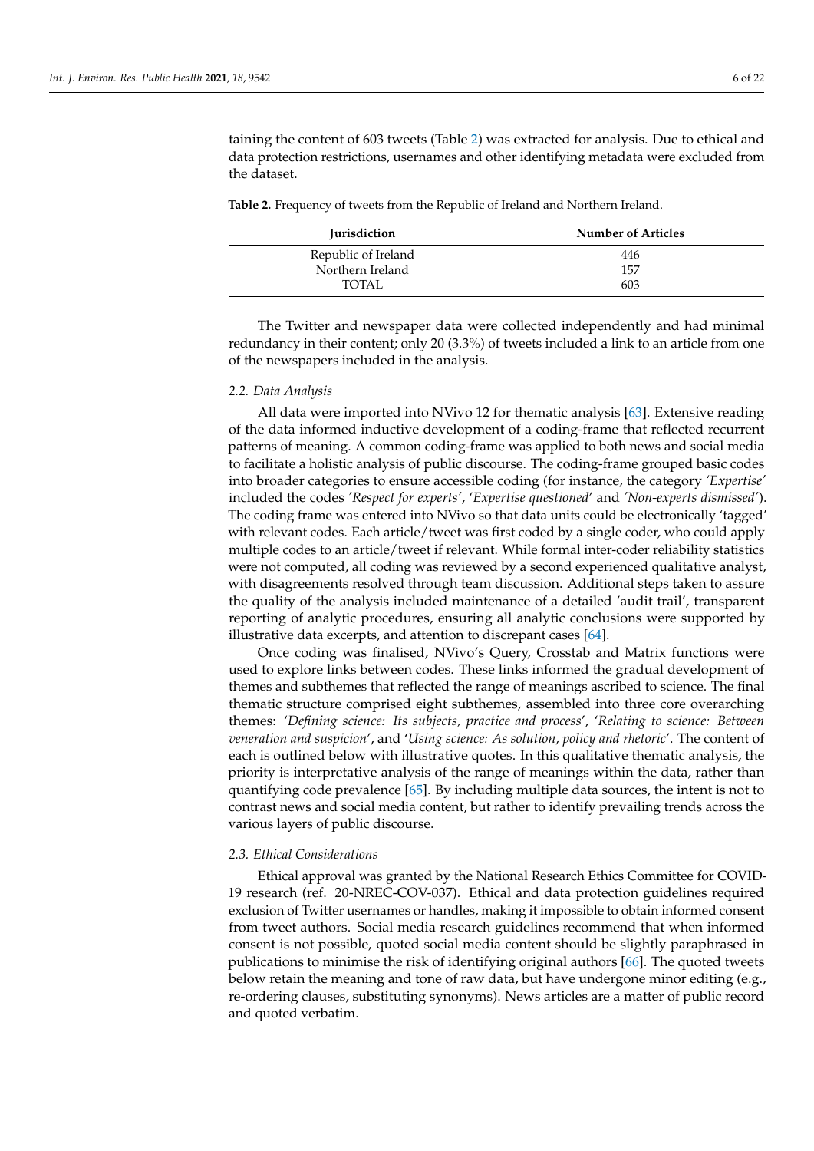taining the content of 603 tweets (Table [2\)](#page-6-0) was extracted for analysis. Due to ethical and data protection restrictions, usernames and other identifying metadata were excluded from the dataset.

<span id="page-6-0"></span>**Table 2.** Frequency of tweets from the Republic of Ireland and Northern Ireland.

| <b>Iurisdiction</b> | <b>Number of Articles</b> |
|---------------------|---------------------------|
| Republic of Ireland | 446                       |
| Northern Ireland    | 157                       |
| TOTAL               | 603                       |

The Twitter and newspaper data were collected independently and had minimal redundancy in their content; only 20 (3.3%) of tweets included a link to an article from one of the newspapers included in the analysis.

#### *2.2. Data Analysis*

All data were imported into NVivo 12 for thematic analysis [\[63\]](#page-21-14). Extensive reading of the data informed inductive development of a coding-frame that reflected recurrent patterns of meaning. A common coding-frame was applied to both news and social media to facilitate a holistic analysis of public discourse. The coding-frame grouped basic codes into broader categories to ensure accessible coding (for instance, the category *'Expertise'* included the codes *'Respect for experts'*, '*Expertise questioned*' and *'Non-experts dismissed'*). The coding frame was entered into NVivo so that data units could be electronically 'tagged' with relevant codes. Each article/tweet was first coded by a single coder, who could apply multiple codes to an article/tweet if relevant. While formal inter-coder reliability statistics were not computed, all coding was reviewed by a second experienced qualitative analyst, with disagreements resolved through team discussion. Additional steps taken to assure the quality of the analysis included maintenance of a detailed 'audit trail', transparent reporting of analytic procedures, ensuring all analytic conclusions were supported by illustrative data excerpts, and attention to discrepant cases [\[64\]](#page-21-15).

Once coding was finalised, NVivo's Query, Crosstab and Matrix functions were used to explore links between codes. These links informed the gradual development of themes and subthemes that reflected the range of meanings ascribed to science. The final thematic structure comprised eight subthemes, assembled into three core overarching themes: '*Defining science: Its subjects, practice and process*', '*Relating to science: Between veneration and suspicion*', and '*Using science: As solution, policy and rhetoric*'. The content of each is outlined below with illustrative quotes. In this qualitative thematic analysis, the priority is interpretative analysis of the range of meanings within the data, rather than quantifying code prevalence [\[65\]](#page-21-16). By including multiple data sources, the intent is not to contrast news and social media content, but rather to identify prevailing trends across the various layers of public discourse.

#### *2.3. Ethical Considerations*

Ethical approval was granted by the National Research Ethics Committee for COVID-19 research (ref. 20-NREC-COV-037). Ethical and data protection guidelines required exclusion of Twitter usernames or handles, making it impossible to obtain informed consent from tweet authors. Social media research guidelines recommend that when informed consent is not possible, quoted social media content should be slightly paraphrased in publications to minimise the risk of identifying original authors [\[66\]](#page-21-17). The quoted tweets below retain the meaning and tone of raw data, but have undergone minor editing (e.g., re-ordering clauses, substituting synonyms). News articles are a matter of public record and quoted verbatim.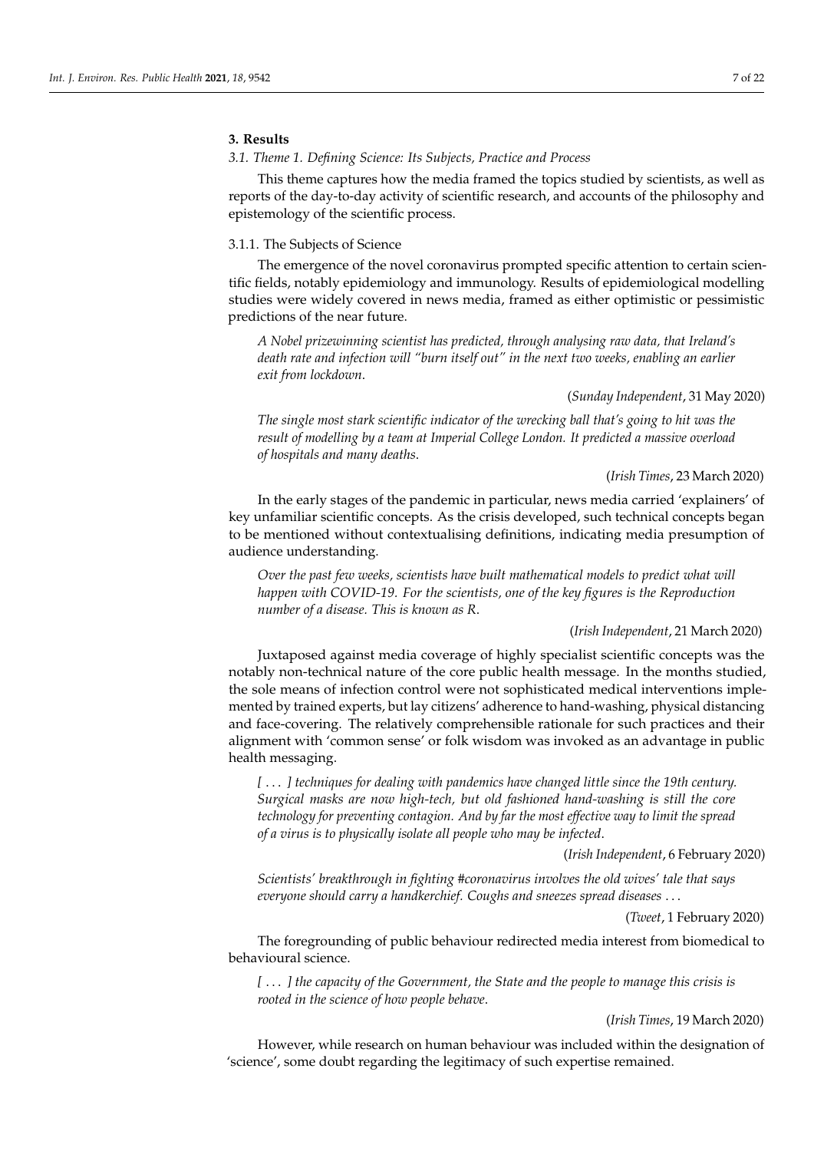# **3. Results**

#### *3.1. Theme 1. Defining Science: Its Subjects, Practice and Process*

This theme captures how the media framed the topics studied by scientists, as well as reports of the day-to-day activity of scientific research, and accounts of the philosophy and epistemology of the scientific process.

### 3.1.1. The Subjects of Science

The emergence of the novel coronavirus prompted specific attention to certain scientific fields, notably epidemiology and immunology. Results of epidemiological modelling studies were widely covered in news media, framed as either optimistic or pessimistic predictions of the near future.

*A Nobel prizewinning scientist has predicted, through analysing raw data, that Ireland's death rate and infection will "burn itself out" in the next two weeks, enabling an earlier exit from lockdown*.

# (*Sunday Independent*, 31 May 2020)

*The single most stark scientific indicator of the wrecking ball that's going to hit was the result of modelling by a team at Imperial College London. It predicted a massive overload of hospitals and many deaths*.

#### (*Irish Times*, 23 March 2020)

In the early stages of the pandemic in particular, news media carried 'explainers' of key unfamiliar scientific concepts. As the crisis developed, such technical concepts began to be mentioned without contextualising definitions, indicating media presumption of audience understanding.

*Over the past few weeks, scientists have built mathematical models to predict what will happen with COVID-19. For the scientists, one of the key figures is the Reproduction number of a disease. This is known as R*.

#### (*Irish Independent*, 21 March 2020)

Juxtaposed against media coverage of highly specialist scientific concepts was the notably non-technical nature of the core public health message. In the months studied, the sole means of infection control were not sophisticated medical interventions implemented by trained experts, but lay citizens' adherence to hand-washing, physical distancing and face-covering. The relatively comprehensible rationale for such practices and their alignment with 'common sense' or folk wisdom was invoked as an advantage in public health messaging.

*[* . . . *] techniques for dealing with pandemics have changed little since the 19th century. Surgical masks are now high-tech, but old fashioned hand-washing is still the core technology for preventing contagion. And by far the most effective way to limit the spread of a virus is to physically isolate all people who may be infected*.

(*Irish Independent*, 6 February 2020)

*Scientists' breakthrough in fighting #coronavirus involves the old wives' tale that says everyone should carry a handkerchief. Coughs and sneezes spread diseases* . . .

#### (*Tweet*, 1 February 2020)

The foregrounding of public behaviour redirected media interest from biomedical to behavioural science.

*[* . . . *] the capacity of the Government, the State and the people to manage this crisis is rooted in the science of how people behave*.

#### (*Irish Times*, 19 March 2020)

However, while research on human behaviour was included within the designation of 'science', some doubt regarding the legitimacy of such expertise remained.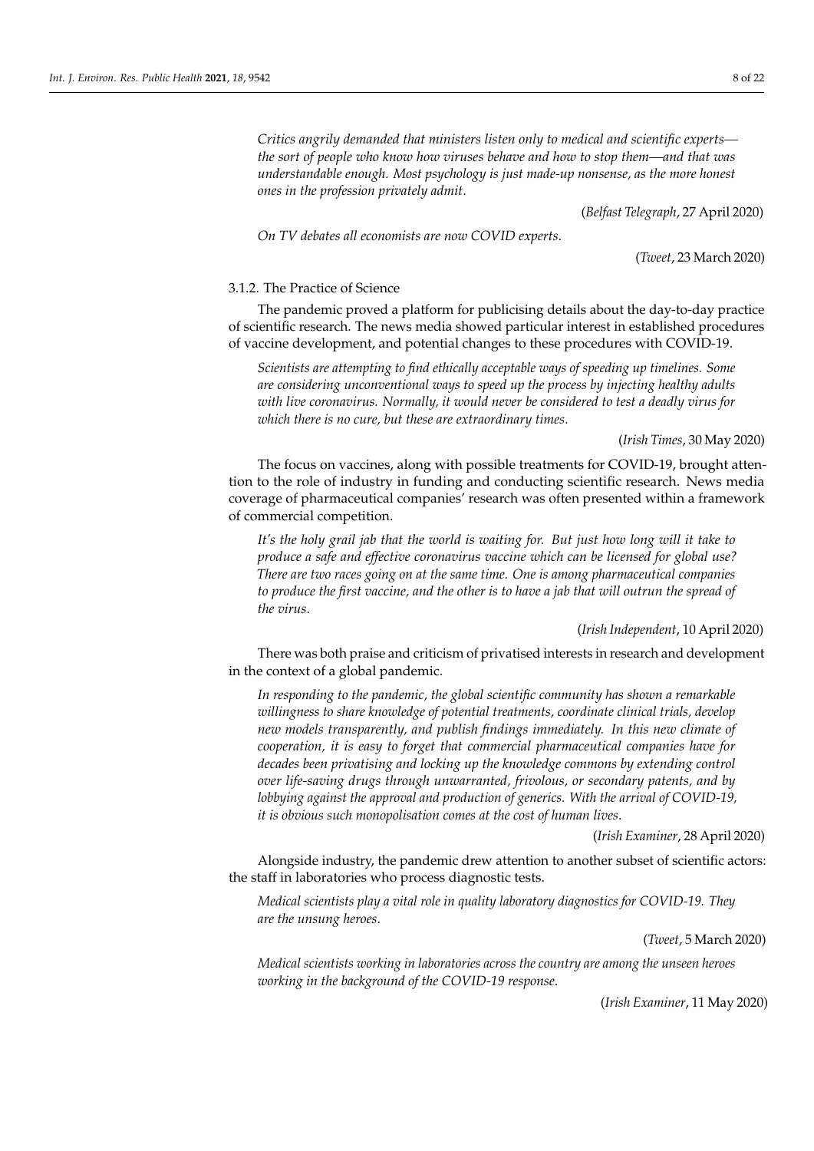*Critics angrily demanded that ministers listen only to medical and scientific experts the sort of people who know how viruses behave and how to stop them—and that was understandable enough. Most psychology is just made-up nonsense, as the more honest ones in the profession privately admit*.

(*Belfast Telegraph*, 27 April 2020)

*On TV debates all economists are now COVID experts*.

(*Tweet*, 23 March 2020)

#### 3.1.2. The Practice of Science

The pandemic proved a platform for publicising details about the day-to-day practice of scientific research. The news media showed particular interest in established procedures of vaccine development, and potential changes to these procedures with COVID-19.

*Scientists are attempting to find ethically acceptable ways of speeding up timelines. Some are considering unconventional ways to speed up the process by injecting healthy adults with live coronavirus. Normally, it would never be considered to test a deadly virus for which there is no cure, but these are extraordinary times*.

(*Irish Times*, 30 May 2020)

The focus on vaccines, along with possible treatments for COVID-19, brought attention to the role of industry in funding and conducting scientific research. News media coverage of pharmaceutical companies' research was often presented within a framework of commercial competition.

*It's the holy grail jab that the world is waiting for. But just how long will it take to produce a safe and effective coronavirus vaccine which can be licensed for global use? There are two races going on at the same time. One is among pharmaceutical companies to produce the first vaccine, and the other is to have a jab that will outrun the spread of the virus*.

(*Irish Independent*, 10 April 2020)

There was both praise and criticism of privatised interests in research and development in the context of a global pandemic.

*In responding to the pandemic, the global scientific community has shown a remarkable willingness to share knowledge of potential treatments, coordinate clinical trials, develop new models transparently, and publish findings immediately. In this new climate of cooperation, it is easy to forget that commercial pharmaceutical companies have for decades been privatising and locking up the knowledge commons by extending control over life-saving drugs through unwarranted, frivolous, or secondary patents, and by lobbying against the approval and production of generics. With the arrival of COVID-19, it is obvious such monopolisation comes at the cost of human lives*.

(*Irish Examiner*, 28 April 2020)

Alongside industry, the pandemic drew attention to another subset of scientific actors: the staff in laboratories who process diagnostic tests.

*Medical scientists play a vital role in quality laboratory diagnostics for COVID-19. They are the unsung heroes*.

(*Tweet*, 5 March 2020)

*Medical scientists working in laboratories across the country are among the unseen heroes working in the background of the COVID-19 response*.

(*Irish Examiner*, 11 May 2020)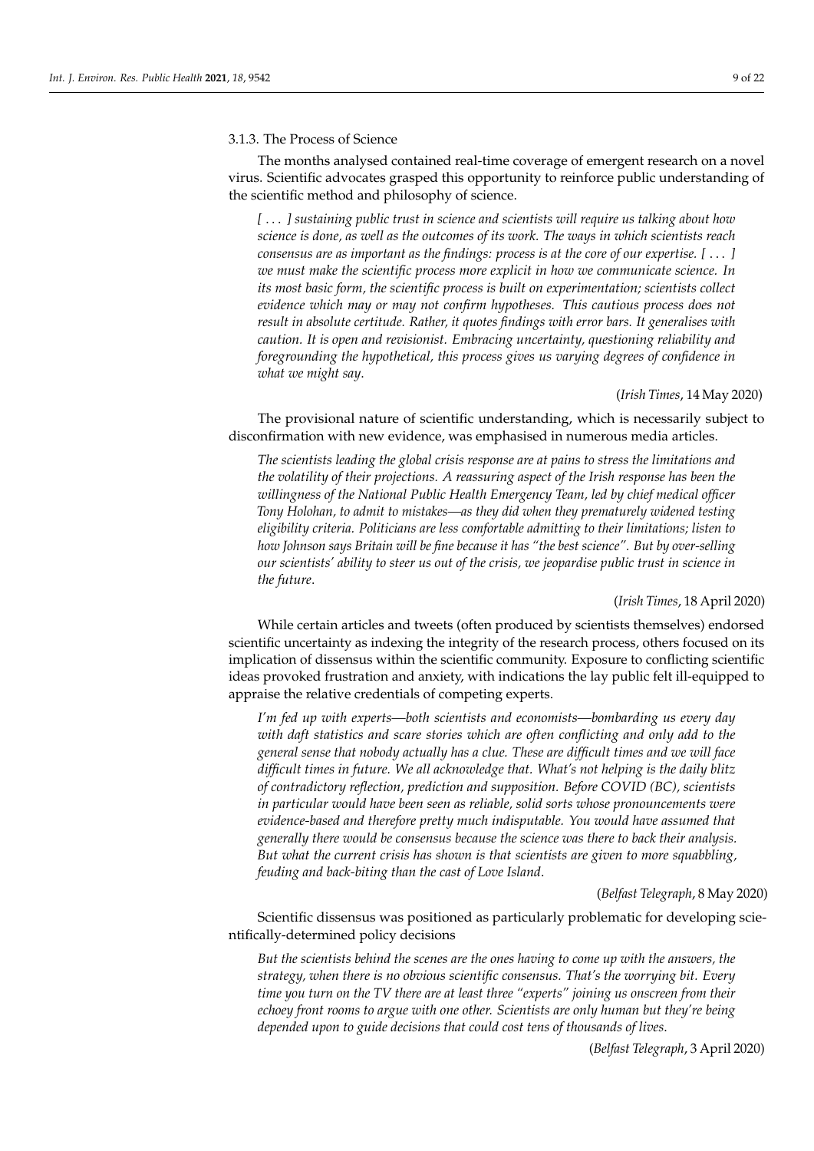#### 3.1.3. The Process of Science

The months analysed contained real-time coverage of emergent research on a novel virus. Scientific advocates grasped this opportunity to reinforce public understanding of the scientific method and philosophy of science.

*[* . . . *] sustaining public trust in science and scientists will require us talking about how science is done, as well as the outcomes of its work. The ways in which scientists reach consensus are as important as the findings: process is at the core of our expertise. [* . . . *] we must make the scientific process more explicit in how we communicate science. In its most basic form, the scientific process is built on experimentation; scientists collect evidence which may or may not confirm hypotheses. This cautious process does not result in absolute certitude. Rather, it quotes findings with error bars. It generalises with caution. It is open and revisionist. Embracing uncertainty, questioning reliability and foregrounding the hypothetical, this process gives us varying degrees of confidence in what we might say*.

### (*Irish Times*, 14 May 2020)

The provisional nature of scientific understanding, which is necessarily subject to disconfirmation with new evidence, was emphasised in numerous media articles.

*The scientists leading the global crisis response are at pains to stress the limitations and the volatility of their projections. A reassuring aspect of the Irish response has been the willingness of the National Public Health Emergency Team, led by chief medical officer Tony Holohan, to admit to mistakes—as they did when they prematurely widened testing eligibility criteria. Politicians are less comfortable admitting to their limitations; listen to how Johnson says Britain will be fine because it has "the best science". But by over-selling our scientists' ability to steer us out of the crisis, we jeopardise public trust in science in the future*.

(*Irish Times*, 18 April 2020)

While certain articles and tweets (often produced by scientists themselves) endorsed scientific uncertainty as indexing the integrity of the research process, others focused on its implication of dissensus within the scientific community. Exposure to conflicting scientific ideas provoked frustration and anxiety, with indications the lay public felt ill-equipped to appraise the relative credentials of competing experts.

*I'm fed up with experts—both scientists and economists—bombarding us every day with daft statistics and scare stories which are often conflicting and only add to the general sense that nobody actually has a clue. These are difficult times and we will face difficult times in future. We all acknowledge that. What's not helping is the daily blitz of contradictory reflection, prediction and supposition. Before COVID (BC), scientists in particular would have been seen as reliable, solid sorts whose pronouncements were evidence-based and therefore pretty much indisputable. You would have assumed that generally there would be consensus because the science was there to back their analysis. But what the current crisis has shown is that scientists are given to more squabbling, feuding and back-biting than the cast of Love Island*.

(*Belfast Telegraph*, 8 May 2020)

Scientific dissensus was positioned as particularly problematic for developing scientifically-determined policy decisions

*But the scientists behind the scenes are the ones having to come up with the answers, the strategy, when there is no obvious scientific consensus. That's the worrying bit. Every time you turn on the TV there are at least three "experts" joining us onscreen from their echoey front rooms to argue with one other. Scientists are only human but they're being depended upon to guide decisions that could cost tens of thousands of lives*.

(*Belfast Telegraph*, 3 April 2020)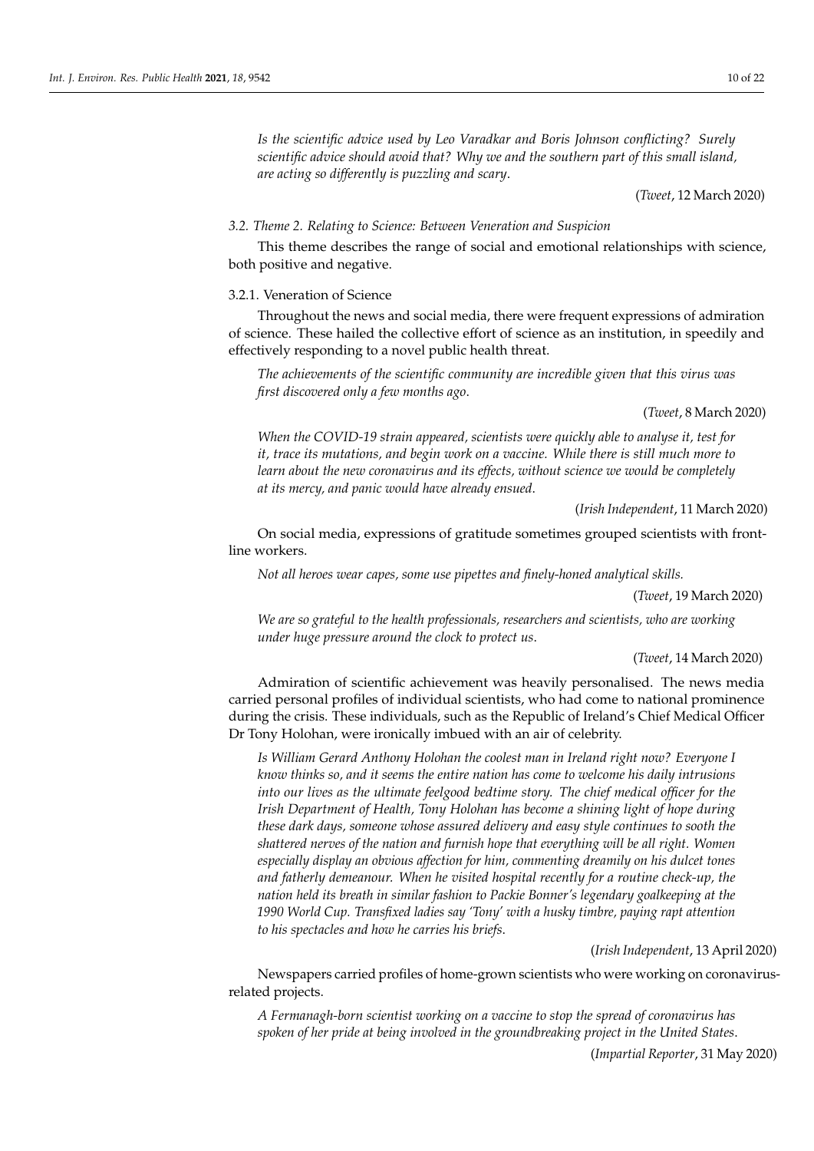*Is the scientific advice used by Leo Varadkar and Boris Johnson conflicting? Surely scientific advice should avoid that? Why we and the southern part of this small island, are acting so differently is puzzling and scary*.

(*Tweet*, 12 March 2020)

# *3.2. Theme 2. Relating to Science: Between Veneration and Suspicion*

This theme describes the range of social and emotional relationships with science, both positive and negative.

#### 3.2.1. Veneration of Science

Throughout the news and social media, there were frequent expressions of admiration of science. These hailed the collective effort of science as an institution, in speedily and effectively responding to a novel public health threat.

*The achievements of the scientific community are incredible given that this virus was first discovered only a few months ago*.

(*Tweet*, 8 March 2020)

*When the COVID-19 strain appeared, scientists were quickly able to analyse it, test for it, trace its mutations, and begin work on a vaccine. While there is still much more to learn about the new coronavirus and its effects, without science we would be completely at its mercy, and panic would have already ensued*.

(*Irish Independent*, 11 March 2020)

On social media, expressions of gratitude sometimes grouped scientists with frontline workers.

*Not all heroes wear capes, some use pipettes and finely-honed analytical skills.*

(*Tweet*, 19 March 2020)

*We are so grateful to the health professionals, researchers and scientists, who are working under huge pressure around the clock to protect us*.

#### (*Tweet*, 14 March 2020)

Admiration of scientific achievement was heavily personalised. The news media carried personal profiles of individual scientists, who had come to national prominence during the crisis. These individuals, such as the Republic of Ireland's Chief Medical Officer Dr Tony Holohan, were ironically imbued with an air of celebrity.

*Is William Gerard Anthony Holohan the coolest man in Ireland right now? Everyone I know thinks so, and it seems the entire nation has come to welcome his daily intrusions into our lives as the ultimate feelgood bedtime story. The chief medical officer for the Irish Department of Health, Tony Holohan has become a shining light of hope during these dark days, someone whose assured delivery and easy style continues to sooth the shattered nerves of the nation and furnish hope that everything will be all right. Women especially display an obvious affection for him, commenting dreamily on his dulcet tones and fatherly demeanour. When he visited hospital recently for a routine check-up, the nation held its breath in similar fashion to Packie Bonner's legendary goalkeeping at the 1990 World Cup. Transfixed ladies say 'Tony' with a husky timbre, paying rapt attention to his spectacles and how he carries his briefs*.

(*Irish Independent*, 13 April 2020)

Newspapers carried profiles of home-grown scientists who were working on coronavirusrelated projects.

*A Fermanagh-born scientist working on a vaccine to stop the spread of coronavirus has spoken of her pride at being involved in the groundbreaking project in the United States*.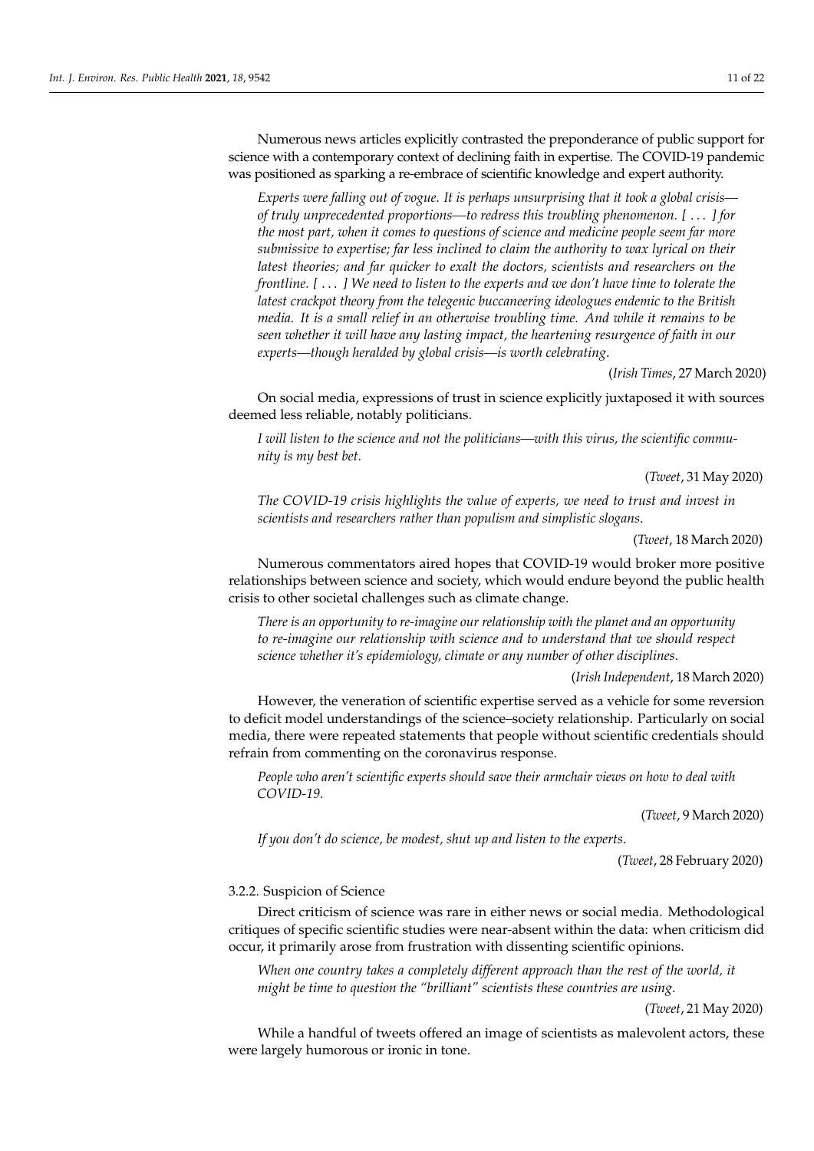Numerous news articles explicitly contrasted the preponderance of public support for science with a contemporary context of declining faith in expertise. The COVID-19 pandemic was positioned as sparking a re-embrace of scientific knowledge and expert authority.

*Experts were falling out of vogue. It is perhaps unsurprising that it took a global crisis of truly unprecedented proportions—to redress this troubling phenomenon. [* . . . *] for the most part, when it comes to questions of science and medicine people seem far more submissive to expertise; far less inclined to claim the authority to wax lyrical on their latest theories; and far quicker to exalt the doctors, scientists and researchers on the frontline. [* . . . *] We need to listen to the experts and we don't have time to tolerate the latest crackpot theory from the telegenic buccaneering ideologues endemic to the British media. It is a small relief in an otherwise troubling time. And while it remains to be seen whether it will have any lasting impact, the heartening resurgence of faith in our experts—though heralded by global crisis—is worth celebrating*.

(*Irish Times*, 27 March 2020)

On social media, expressions of trust in science explicitly juxtaposed it with sources deemed less reliable, notably politicians.

*I will listen to the science and not the politicians—with this virus, the scientific community is my best bet*.

(*Tweet*, 31 May 2020)

*The COVID-19 crisis highlights the value of experts, we need to trust and invest in scientists and researchers rather than populism and simplistic slogans*.

(*Tweet*, 18 March 2020)

Numerous commentators aired hopes that COVID-19 would broker more positive relationships between science and society, which would endure beyond the public health crisis to other societal challenges such as climate change.

*There is an opportunity to re-imagine our relationship with the planet and an opportunity to re-imagine our relationship with science and to understand that we should respect science whether it's epidemiology, climate or any number of other disciplines*.

(*Irish Independent*, 18 March 2020)

However, the veneration of scientific expertise served as a vehicle for some reversion to deficit model understandings of the science–society relationship. Particularly on social media, there were repeated statements that people without scientific credentials should refrain from commenting on the coronavirus response.

*People who aren't scientific experts should save their armchair views on how to deal with COVID-19*.

(*Tweet*, 9 March 2020)

*If you don't do science, be modest, shut up and listen to the experts*.

(*Tweet*, 28 February 2020)

# 3.2.2. Suspicion of Science

Direct criticism of science was rare in either news or social media. Methodological critiques of specific scientific studies were near-absent within the data: when criticism did occur, it primarily arose from frustration with dissenting scientific opinions.

*When one country takes a completely different approach than the rest of the world, it might be time to question the "brilliant" scientists these countries are using*.

(*Tweet*, 21 May 2020)

While a handful of tweets offered an image of scientists as malevolent actors, these were largely humorous or ironic in tone.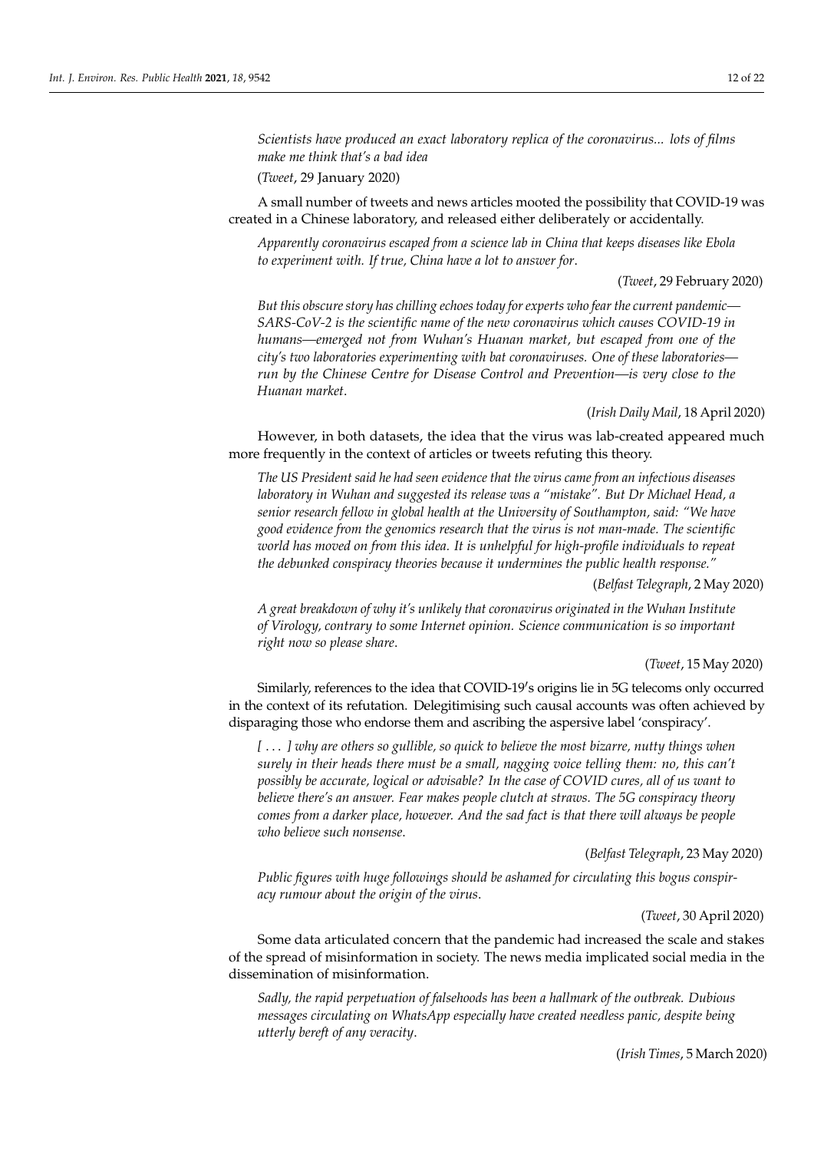*Scientists have produced an exact laboratory replica of the coronavirus... lots of films make me think that's a bad idea*

(*Tweet*, 29 January 2020)

A small number of tweets and news articles mooted the possibility that COVID-19 was created in a Chinese laboratory, and released either deliberately or accidentally.

*Apparently coronavirus escaped from a science lab in China that keeps diseases like Ebola to experiment with. If true, China have a lot to answer for*.

(*Tweet*, 29 February 2020)

*But this obscure story has chilling echoes today for experts who fear the current pandemic— SARS-CoV-2 is the scientific name of the new coronavirus which causes COVID-19 in humans—emerged not from Wuhan's Huanan market, but escaped from one of the city's two laboratories experimenting with bat coronaviruses. One of these laboratories run by the Chinese Centre for Disease Control and Prevention—is very close to the Huanan market*.

(*Irish Daily Mail*, 18 April 2020)

However, in both datasets, the idea that the virus was lab-created appeared much more frequently in the context of articles or tweets refuting this theory.

*The US President said he had seen evidence that the virus came from an infectious diseases laboratory in Wuhan and suggested its release was a "mistake". But Dr Michael Head, a senior research fellow in global health at the University of Southampton, said: "We have good evidence from the genomics research that the virus is not man-made. The scientific world has moved on from this idea. It is unhelpful for high-profile individuals to repeat the debunked conspiracy theories because it undermines the public health response."*

(*Belfast Telegraph*, 2 May 2020)

*A great breakdown of why it's unlikely that coronavirus originated in the Wuhan Institute of Virology, contrary to some Internet opinion. Science communication is so important right now so please share*.

(*Tweet*, 15 May 2020)

Similarly, references to the idea that COVID-19's origins lie in 5G telecoms only occurred in the context of its refutation. Delegitimising such causal accounts was often achieved by disparaging those who endorse them and ascribing the aspersive label 'conspiracy'.

*[* . . . *] why are others so gullible, so quick to believe the most bizarre, nutty things when surely in their heads there must be a small, nagging voice telling them: no, this can't possibly be accurate, logical or advisable? In the case of COVID cures, all of us want to believe there's an answer. Fear makes people clutch at straws. The 5G conspiracy theory comes from a darker place, however. And the sad fact is that there will always be people who believe such nonsense*.

(*Belfast Telegraph*, 23 May 2020)

*Public figures with huge followings should be ashamed for circulating this bogus conspiracy rumour about the origin of the virus*.

(*Tweet*, 30 April 2020)

Some data articulated concern that the pandemic had increased the scale and stakes of the spread of misinformation in society. The news media implicated social media in the dissemination of misinformation.

*Sadly, the rapid perpetuation of falsehoods has been a hallmark of the outbreak. Dubious messages circulating on WhatsApp especially have created needless panic, despite being utterly bereft of any veracity*.

(*Irish Times*, 5 March 2020)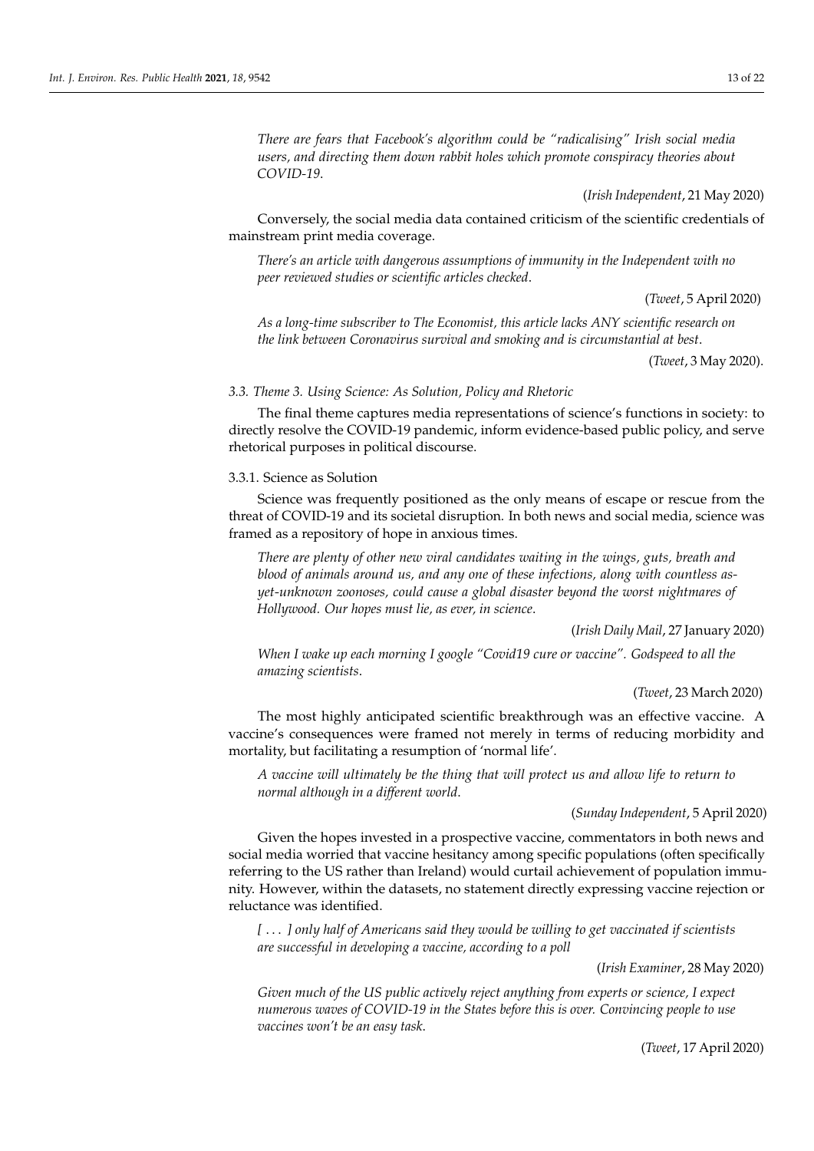*There are fears that Facebook's algorithm could be "radicalising" Irish social media users, and directing them down rabbit holes which promote conspiracy theories about COVID-19*.

(*Irish Independent*, 21 May 2020)

Conversely, the social media data contained criticism of the scientific credentials of mainstream print media coverage.

*There's an article with dangerous assumptions of immunity in the Independent with no peer reviewed studies or scientific articles checked*.

(*Tweet*, 5 April 2020)

*As a long-time subscriber to The Economist, this article lacks ANY scientific research on the link between Coronavirus survival and smoking and is circumstantial at best*.

(*Tweet*, 3 May 2020).

#### *3.3. Theme 3. Using Science: As Solution, Policy and Rhetoric*

The final theme captures media representations of science's functions in society: to directly resolve the COVID-19 pandemic, inform evidence-based public policy, and serve rhetorical purposes in political discourse.

#### 3.3.1. Science as Solution

Science was frequently positioned as the only means of escape or rescue from the threat of COVID-19 and its societal disruption. In both news and social media, science was framed as a repository of hope in anxious times.

*There are plenty of other new viral candidates waiting in the wings, guts, breath and blood of animals around us, and any one of these infections, along with countless asyet-unknown zoonoses, could cause a global disaster beyond the worst nightmares of Hollywood. Our hopes must lie, as ever, in science*.

(*Irish Daily Mail*, 27 January 2020)

*When I wake up each morning I google "Covid19 cure or vaccine". Godspeed to all the amazing scientists*.

(*Tweet*, 23 March 2020)

The most highly anticipated scientific breakthrough was an effective vaccine. A vaccine's consequences were framed not merely in terms of reducing morbidity and mortality, but facilitating a resumption of 'normal life'.

*A vaccine will ultimately be the thing that will protect us and allow life to return to normal although in a different world*.

# (*Sunday Independent*, 5 April 2020)

Given the hopes invested in a prospective vaccine, commentators in both news and social media worried that vaccine hesitancy among specific populations (often specifically referring to the US rather than Ireland) would curtail achievement of population immunity. However, within the datasets, no statement directly expressing vaccine rejection or reluctance was identified.

*[* . . . *] only half of Americans said they would be willing to get vaccinated if scientists are successful in developing a vaccine, according to a poll*

(*Irish Examiner*, 28 May 2020)

*Given much of the US public actively reject anything from experts or science, I expect numerous waves of COVID-19 in the States before this is over. Convincing people to use vaccines won't be an easy task*.

(*Tweet*, 17 April 2020)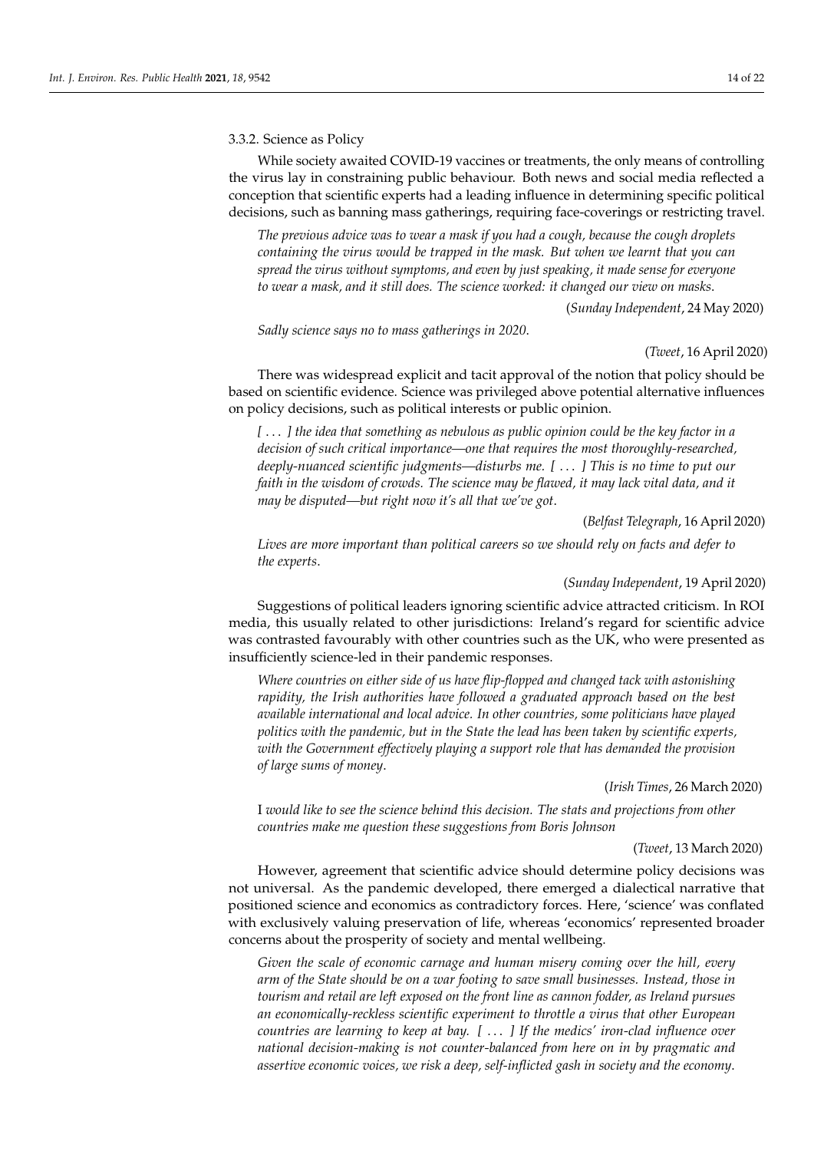# 3.3.2. Science as Policy

While society awaited COVID-19 vaccines or treatments, the only means of controlling the virus lay in constraining public behaviour. Both news and social media reflected a conception that scientific experts had a leading influence in determining specific political decisions, such as banning mass gatherings, requiring face-coverings or restricting travel.

*The previous advice was to wear a mask if you had a cough, because the cough droplets containing the virus would be trapped in the mask. But when we learnt that you can spread the virus without symptoms, and even by just speaking, it made sense for everyone to wear a mask, and it still does. The science worked: it changed our view on masks*.

(*Sunday Independent*, 24 May 2020)

*Sadly science says no to mass gatherings in 2020*.

#### (*Tweet*, 16 April 2020)

There was widespread explicit and tacit approval of the notion that policy should be based on scientific evidence. Science was privileged above potential alternative influences on policy decisions, such as political interests or public opinion.

*[* . . . *] the idea that something as nebulous as public opinion could be the key factor in a decision of such critical importance—one that requires the most thoroughly-researched, deeply-nuanced scientific judgments—disturbs me. [* . . . *] This is no time to put our faith in the wisdom of crowds. The science may be flawed, it may lack vital data, and it may be disputed—but right now it's all that we've got*.

(*Belfast Telegraph*, 16 April 2020)

*Lives are more important than political careers so we should rely on facts and defer to the experts*.

#### (*Sunday Independent*, 19 April 2020)

Suggestions of political leaders ignoring scientific advice attracted criticism. In ROI media, this usually related to other jurisdictions: Ireland's regard for scientific advice was contrasted favourably with other countries such as the UK, who were presented as insufficiently science-led in their pandemic responses.

*Where countries on either side of us have flip-flopped and changed tack with astonishing rapidity, the Irish authorities have followed a graduated approach based on the best available international and local advice. In other countries, some politicians have played politics with the pandemic, but in the State the lead has been taken by scientific experts, with the Government effectively playing a support role that has demanded the provision of large sums of money*.

(*Irish Times*, 26 March 2020)

I *would like to see the science behind this decision. The stats and projections from other countries make me question these suggestions from Boris Johnson*

#### (*Tweet*, 13 March 2020)

However, agreement that scientific advice should determine policy decisions was not universal. As the pandemic developed, there emerged a dialectical narrative that positioned science and economics as contradictory forces. Here, 'science' was conflated with exclusively valuing preservation of life, whereas 'economics' represented broader concerns about the prosperity of society and mental wellbeing.

*Given the scale of economic carnage and human misery coming over the hill, every arm of the State should be on a war footing to save small businesses. Instead, those in tourism and retail are left exposed on the front line as cannon fodder, as Ireland pursues an economically-reckless scientific experiment to throttle a virus that other European countries are learning to keep at bay. [* . . . *] If the medics' iron-clad influence over national decision-making is not counter-balanced from here on in by pragmatic and assertive economic voices, we risk a deep, self-inflicted gash in society and the economy*.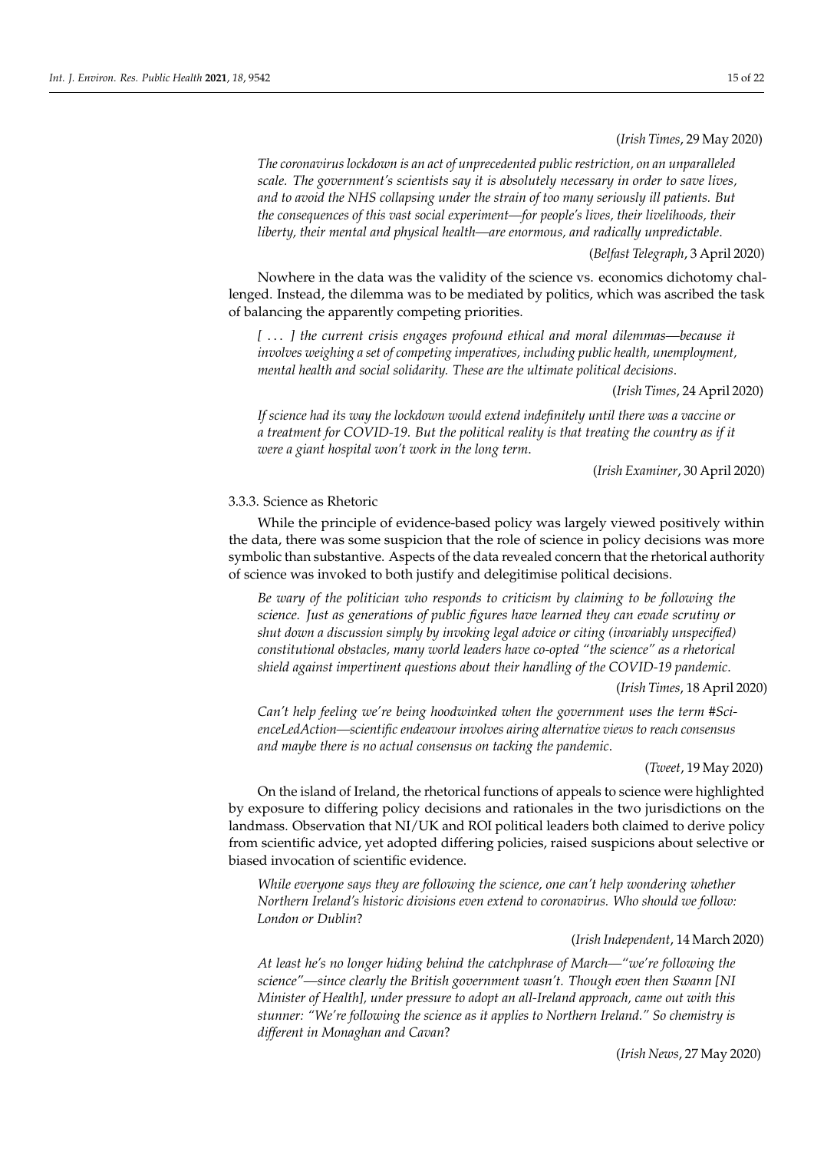(*Irish Times*, 29 May 2020)

*The coronavirus lockdown is an act of unprecedented public restriction, on an unparalleled scale. The government's scientists say it is absolutely necessary in order to save lives, and to avoid the NHS collapsing under the strain of too many seriously ill patients. But the consequences of this vast social experiment—for people's lives, their livelihoods, their liberty, their mental and physical health—are enormous, and radically unpredictable*.

(*Belfast Telegraph*, 3 April 2020)

Nowhere in the data was the validity of the science vs. economics dichotomy challenged. Instead, the dilemma was to be mediated by politics, which was ascribed the task of balancing the apparently competing priorities.

*[* . . . *] the current crisis engages profound ethical and moral dilemmas—because it involves weighing a set of competing imperatives, including public health, unemployment, mental health and social solidarity. These are the ultimate political decisions*.

(*Irish Times*, 24 April 2020)

*If science had its way the lockdown would extend indefinitely until there was a vaccine or a treatment for COVID-19. But the political reality is that treating the country as if it were a giant hospital won't work in the long term*.

(*Irish Examiner*, 30 April 2020)

# 3.3.3. Science as Rhetoric

While the principle of evidence-based policy was largely viewed positively within the data, there was some suspicion that the role of science in policy decisions was more symbolic than substantive. Aspects of the data revealed concern that the rhetorical authority of science was invoked to both justify and delegitimise political decisions.

*Be wary of the politician who responds to criticism by claiming to be following the science. Just as generations of public figures have learned they can evade scrutiny or shut down a discussion simply by invoking legal advice or citing (invariably unspecified) constitutional obstacles, many world leaders have co-opted "the science" as a rhetorical shield against impertinent questions about their handling of the COVID-19 pandemic*.

(*Irish Times*, 18 April 2020)

*Can't help feeling we're being hoodwinked when the government uses the term #ScienceLedAction—scientific endeavour involves airing alternative views to reach consensus and maybe there is no actual consensus on tacking the pandemic*.

On the island of Ireland, the rhetorical functions of appeals to science were highlighted by exposure to differing policy decisions and rationales in the two jurisdictions on the landmass. Observation that NI/UK and ROI political leaders both claimed to derive policy from scientific advice, yet adopted differing policies, raised suspicions about selective or biased invocation of scientific evidence.

*While everyone says they are following the science, one can't help wondering whether Northern Ireland's historic divisions even extend to coronavirus. Who should we follow: London or Dublin*?

### (*Irish Independent*, 14 March 2020)

*At least he's no longer hiding behind the catchphrase of March—"we're following the science"—since clearly the British government wasn't. Though even then Swann [NI Minister of Health], under pressure to adopt an all-Ireland approach, came out with this stunner: "We're following the science as it applies to Northern Ireland." So chemistry is different in Monaghan and Cavan*?

(*Irish News*, 27 May 2020)

<sup>(</sup>*Tweet*, 19 May 2020)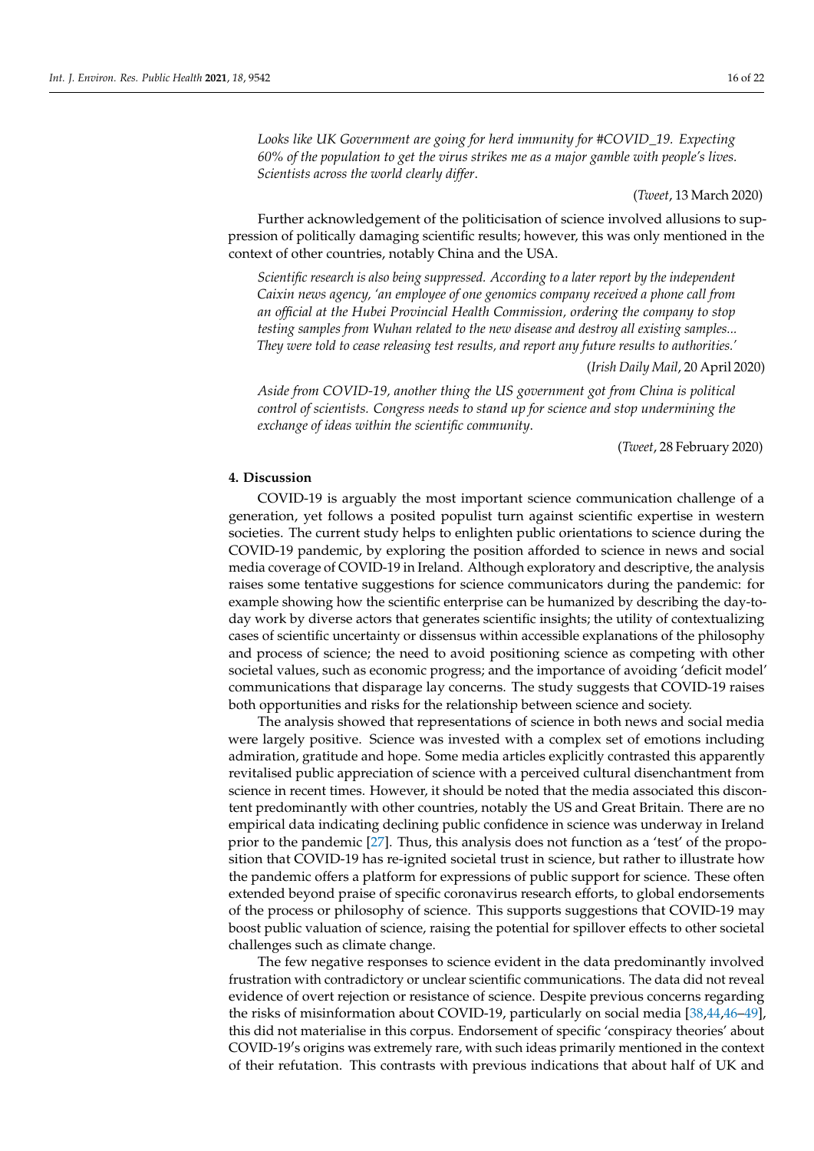*Looks like UK Government are going for herd immunity for #COVID\_19. Expecting 60% of the population to get the virus strikes me as a major gamble with people's lives. Scientists across the world clearly differ*.

(*Tweet*, 13 March 2020)

Further acknowledgement of the politicisation of science involved allusions to suppression of politically damaging scientific results; however, this was only mentioned in the context of other countries, notably China and the USA.

*Scientific research is also being suppressed. According to a later report by the independent Caixin news agency, 'an employee of one genomics company received a phone call from an official at the Hubei Provincial Health Commission, ordering the company to stop testing samples from Wuhan related to the new disease and destroy all existing samples... They were told to cease releasing test results, and report any future results to authorities.'*

(*Irish Daily Mail*, 20 April 2020)

*Aside from COVID-19, another thing the US government got from China is political control of scientists. Congress needs to stand up for science and stop undermining the exchange of ideas within the scientific community*.

(*Tweet*, 28 February 2020)

# **4. Discussion**

COVID-19 is arguably the most important science communication challenge of a generation, yet follows a posited populist turn against scientific expertise in western societies. The current study helps to enlighten public orientations to science during the COVID-19 pandemic, by exploring the position afforded to science in news and social media coverage of COVID-19 in Ireland. Although exploratory and descriptive, the analysis raises some tentative suggestions for science communicators during the pandemic: for example showing how the scientific enterprise can be humanized by describing the day-today work by diverse actors that generates scientific insights; the utility of contextualizing cases of scientific uncertainty or dissensus within accessible explanations of the philosophy and process of science; the need to avoid positioning science as competing with other societal values, such as economic progress; and the importance of avoiding 'deficit model' communications that disparage lay concerns. The study suggests that COVID-19 raises both opportunities and risks for the relationship between science and society.

The analysis showed that representations of science in both news and social media were largely positive. Science was invested with a complex set of emotions including admiration, gratitude and hope. Some media articles explicitly contrasted this apparently revitalised public appreciation of science with a perceived cultural disenchantment from science in recent times. However, it should be noted that the media associated this discontent predominantly with other countries, notably the US and Great Britain. There are no empirical data indicating declining public confidence in science was underway in Ireland prior to the pandemic [\[27\]](#page-20-12). Thus, this analysis does not function as a 'test' of the proposition that COVID-19 has re-ignited societal trust in science, but rather to illustrate how the pandemic offers a platform for expressions of public support for science. These often extended beyond praise of specific coronavirus research efforts, to global endorsements of the process or philosophy of science. This supports suggestions that COVID-19 may boost public valuation of science, raising the potential for spillover effects to other societal challenges such as climate change.

The few negative responses to science evident in the data predominantly involved frustration with contradictory or unclear scientific communications. The data did not reveal evidence of overt rejection or resistance of science. Despite previous concerns regarding the risks of misinformation about COVID-19, particularly on social media [\[38,](#page-20-22)[44,](#page-20-28)[46–](#page-20-30)[49\]](#page-21-0), this did not materialise in this corpus. Endorsement of specific 'conspiracy theories' about COVID-19's origins was extremely rare, with such ideas primarily mentioned in the context of their refutation. This contrasts with previous indications that about half of UK and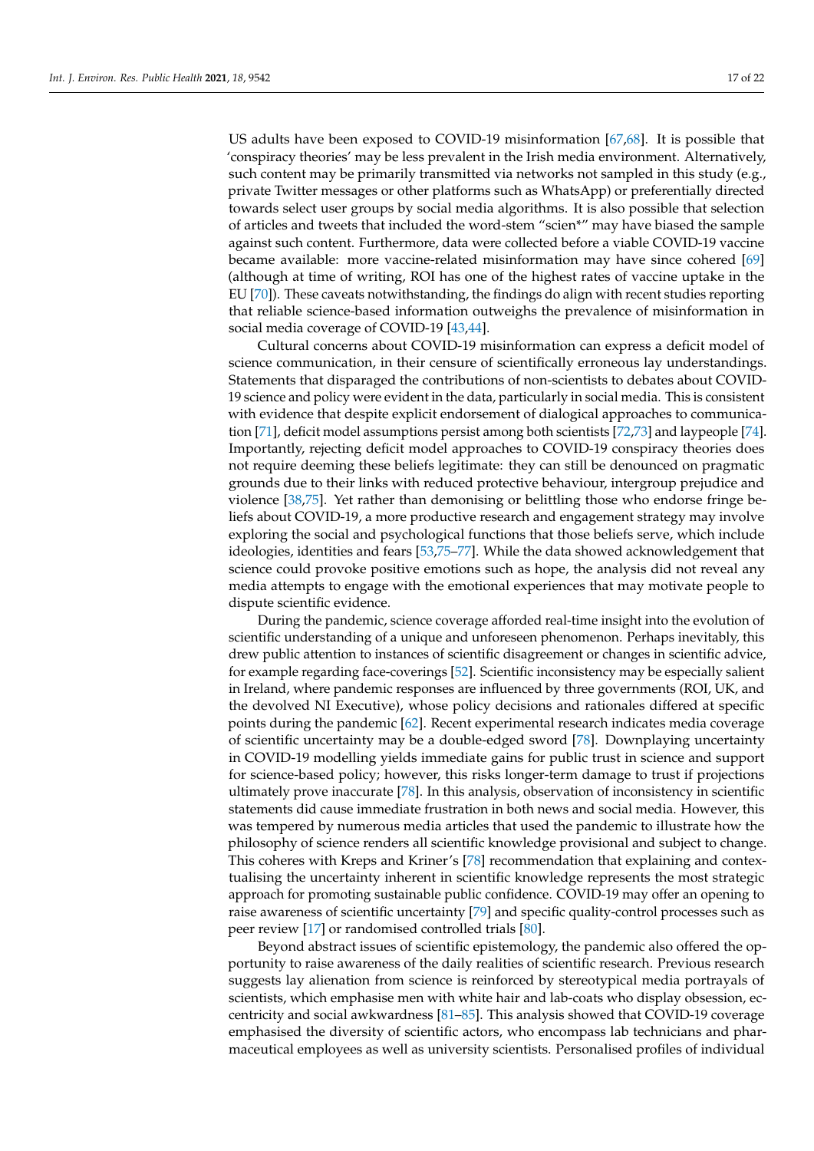US adults have been exposed to COVID-19 misinformation [\[67](#page-21-18)[,68\]](#page-21-19). It is possible that 'conspiracy theories' may be less prevalent in the Irish media environment. Alternatively, such content may be primarily transmitted via networks not sampled in this study (e.g., private Twitter messages or other platforms such as WhatsApp) or preferentially directed towards select user groups by social media algorithms. It is also possible that selection of articles and tweets that included the word-stem "scien\*" may have biased the sample against such content. Furthermore, data were collected before a viable COVID-19 vaccine became available: more vaccine-related misinformation may have since cohered [\[69\]](#page-21-20) (although at time of writing, ROI has one of the highest rates of vaccine uptake in the EU [\[70\]](#page-21-21)). These caveats notwithstanding, the findings do align with recent studies reporting that reliable science-based information outweighs the prevalence of misinformation in social media coverage of COVID-19 [\[43,](#page-20-27)[44\]](#page-20-28).

Cultural concerns about COVID-19 misinformation can express a deficit model of science communication, in their censure of scientifically erroneous lay understandings. Statements that disparaged the contributions of non-scientists to debates about COVID-19 science and policy were evident in the data, particularly in social media. This is consistent with evidence that despite explicit endorsement of dialogical approaches to communication [\[71\]](#page-21-22), deficit model assumptions persist among both scientists [\[72](#page-21-23)[,73\]](#page-21-24) and laypeople [\[74\]](#page-21-25). Importantly, rejecting deficit model approaches to COVID-19 conspiracy theories does not require deeming these beliefs legitimate: they can still be denounced on pragmatic grounds due to their links with reduced protective behaviour, intergroup prejudice and violence [\[38](#page-20-22)[,75\]](#page-21-26). Yet rather than demonising or belittling those who endorse fringe beliefs about COVID-19, a more productive research and engagement strategy may involve exploring the social and psychological functions that those beliefs serve, which include ideologies, identities and fears [\[53](#page-21-4)[,75–](#page-21-26)[77\]](#page-21-27). While the data showed acknowledgement that science could provoke positive emotions such as hope, the analysis did not reveal any media attempts to engage with the emotional experiences that may motivate people to dispute scientific evidence.

During the pandemic, science coverage afforded real-time insight into the evolution of scientific understanding of a unique and unforeseen phenomenon. Perhaps inevitably, this drew public attention to instances of scientific disagreement or changes in scientific advice, for example regarding face-coverings [\[52\]](#page-21-3). Scientific inconsistency may be especially salient in Ireland, where pandemic responses are influenced by three governments (ROI, UK, and the devolved NI Executive), whose policy decisions and rationales differed at specific points during the pandemic [\[62\]](#page-21-13). Recent experimental research indicates media coverage of scientific uncertainty may be a double-edged sword [\[78\]](#page-22-0). Downplaying uncertainty in COVID-19 modelling yields immediate gains for public trust in science and support for science-based policy; however, this risks longer-term damage to trust if projections ultimately prove inaccurate [\[78\]](#page-22-0). In this analysis, observation of inconsistency in scientific statements did cause immediate frustration in both news and social media. However, this was tempered by numerous media articles that used the pandemic to illustrate how the philosophy of science renders all scientific knowledge provisional and subject to change. This coheres with Kreps and Kriner's [\[78\]](#page-22-0) recommendation that explaining and contextualising the uncertainty inherent in scientific knowledge represents the most strategic approach for promoting sustainable public confidence. COVID-19 may offer an opening to raise awareness of scientific uncertainty [\[79\]](#page-22-1) and specific quality-control processes such as peer review [\[17\]](#page-20-2) or randomised controlled trials [\[80\]](#page-22-2).

Beyond abstract issues of scientific epistemology, the pandemic also offered the opportunity to raise awareness of the daily realities of scientific research. Previous research suggests lay alienation from science is reinforced by stereotypical media portrayals of scientists, which emphasise men with white hair and lab-coats who display obsession, eccentricity and social awkwardness [\[81–](#page-22-3)[85\]](#page-22-4). This analysis showed that COVID-19 coverage emphasised the diversity of scientific actors, who encompass lab technicians and pharmaceutical employees as well as university scientists. Personalised profiles of individual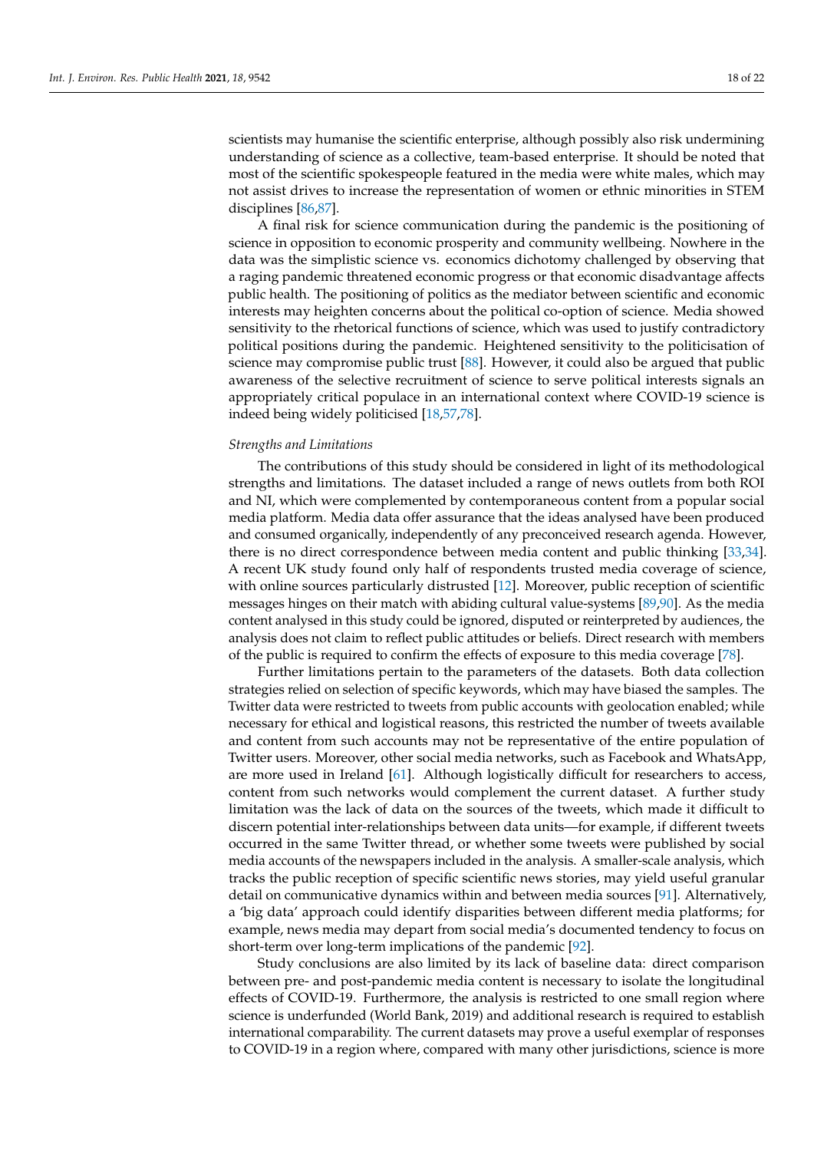scientists may humanise the scientific enterprise, although possibly also risk undermining understanding of science as a collective, team-based enterprise. It should be noted that most of the scientific spokespeople featured in the media were white males, which may not assist drives to increase the representation of women or ethnic minorities in STEM disciplines [\[86,](#page-22-5)[87\]](#page-22-6).

A final risk for science communication during the pandemic is the positioning of science in opposition to economic prosperity and community wellbeing. Nowhere in the data was the simplistic science vs. economics dichotomy challenged by observing that a raging pandemic threatened economic progress or that economic disadvantage affects public health. The positioning of politics as the mediator between scientific and economic interests may heighten concerns about the political co-option of science. Media showed sensitivity to the rhetorical functions of science, which was used to justify contradictory political positions during the pandemic. Heightened sensitivity to the politicisation of science may compromise public trust [\[88\]](#page-22-7). However, it could also be argued that public awareness of the selective recruitment of science to serve political interests signals an appropriately critical populace in an international context where COVID-19 science is indeed being widely politicised [\[18,](#page-20-3)[57,](#page-21-8)[78\]](#page-22-0).

#### *Strengths and Limitations*

The contributions of this study should be considered in light of its methodological strengths and limitations. The dataset included a range of news outlets from both ROI and NI, which were complemented by contemporaneous content from a popular social media platform. Media data offer assurance that the ideas analysed have been produced and consumed organically, independently of any preconceived research agenda. However, there is no direct correspondence between media content and public thinking [\[33,](#page-20-31)[34\]](#page-20-18). A recent UK study found only half of respondents trusted media coverage of science, with online sources particularly distrusted [\[12\]](#page-19-10). Moreover, public reception of scientific messages hinges on their match with abiding cultural value-systems [\[89](#page-22-8)[,90\]](#page-22-9). As the media content analysed in this study could be ignored, disputed or reinterpreted by audiences, the analysis does not claim to reflect public attitudes or beliefs. Direct research with members of the public is required to confirm the effects of exposure to this media coverage [\[78\]](#page-22-0).

Further limitations pertain to the parameters of the datasets. Both data collection strategies relied on selection of specific keywords, which may have biased the samples. The Twitter data were restricted to tweets from public accounts with geolocation enabled; while necessary for ethical and logistical reasons, this restricted the number of tweets available and content from such accounts may not be representative of the entire population of Twitter users. Moreover, other social media networks, such as Facebook and WhatsApp, are more used in Ireland [\[61\]](#page-21-12). Although logistically difficult for researchers to access, content from such networks would complement the current dataset. A further study limitation was the lack of data on the sources of the tweets, which made it difficult to discern potential inter-relationships between data units—for example, if different tweets occurred in the same Twitter thread, or whether some tweets were published by social media accounts of the newspapers included in the analysis. A smaller-scale analysis, which tracks the public reception of specific scientific news stories, may yield useful granular detail on communicative dynamics within and between media sources [\[91\]](#page-22-10). Alternatively, a 'big data' approach could identify disparities between different media platforms; for example, news media may depart from social media's documented tendency to focus on short-term over long-term implications of the pandemic [\[92\]](#page-22-11).

Study conclusions are also limited by its lack of baseline data: direct comparison between pre- and post-pandemic media content is necessary to isolate the longitudinal effects of COVID-19. Furthermore, the analysis is restricted to one small region where science is underfunded (World Bank, 2019) and additional research is required to establish international comparability. The current datasets may prove a useful exemplar of responses to COVID-19 in a region where, compared with many other jurisdictions, science is more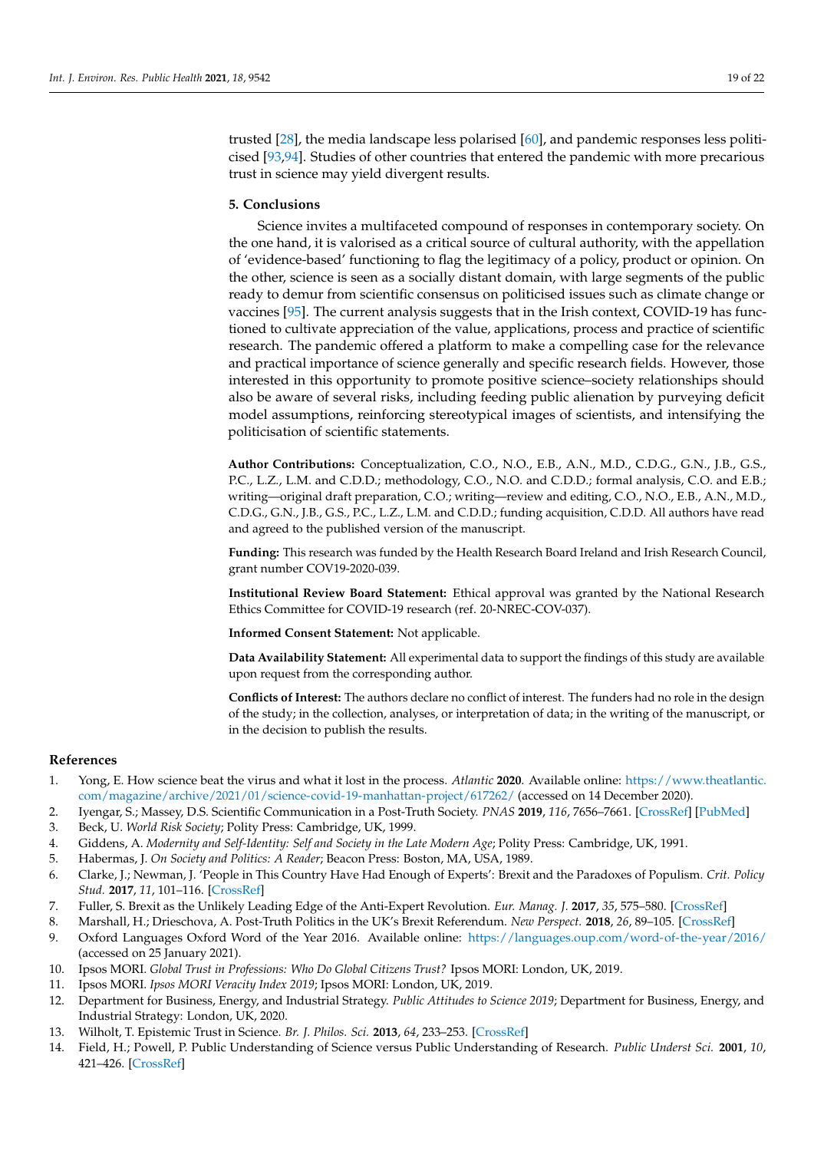trusted [\[28\]](#page-20-13), the media landscape less polarised [\[60\]](#page-21-11), and pandemic responses less politicised [\[93](#page-22-12)[,94\]](#page-22-13). Studies of other countries that entered the pandemic with more precarious trust in science may yield divergent results.

#### **5. Conclusions**

Science invites a multifaceted compound of responses in contemporary society. On the one hand, it is valorised as a critical source of cultural authority, with the appellation of 'evidence-based' functioning to flag the legitimacy of a policy, product or opinion. On the other, science is seen as a socially distant domain, with large segments of the public ready to demur from scientific consensus on politicised issues such as climate change or vaccines [\[95\]](#page-22-14). The current analysis suggests that in the Irish context, COVID-19 has functioned to cultivate appreciation of the value, applications, process and practice of scientific research. The pandemic offered a platform to make a compelling case for the relevance and practical importance of science generally and specific research fields. However, those interested in this opportunity to promote positive science–society relationships should also be aware of several risks, including feeding public alienation by purveying deficit model assumptions, reinforcing stereotypical images of scientists, and intensifying the politicisation of scientific statements.

**Author Contributions:** Conceptualization, C.O., N.O., E.B., A.N., M.D., C.D.G., G.N., J.B., G.S., P.C., L.Z., L.M. and C.D.D.; methodology, C.O., N.O. and C.D.D.; formal analysis, C.O. and E.B.; writing—original draft preparation, C.O.; writing—review and editing, C.O., N.O., E.B., A.N., M.D., C.D.G., G.N., J.B., G.S., P.C., L.Z., L.M. and C.D.D.; funding acquisition, C.D.D. All authors have read and agreed to the published version of the manuscript.

**Funding:** This research was funded by the Health Research Board Ireland and Irish Research Council, grant number COV19-2020-039.

**Institutional Review Board Statement:** Ethical approval was granted by the National Research Ethics Committee for COVID-19 research (ref. 20-NREC-COV-037).

**Informed Consent Statement:** Not applicable.

**Data Availability Statement:** All experimental data to support the findings of this study are available upon request from the corresponding author.

**Conflicts of Interest:** The authors declare no conflict of interest. The funders had no role in the design of the study; in the collection, analyses, or interpretation of data; in the writing of the manuscript, or in the decision to publish the results.

#### **References**

- <span id="page-19-0"></span>1. Yong, E. How science beat the virus and what it lost in the process. *Atlantic* **2020**. Available online: [https://www.theatlantic.](https://www.theatlantic.com/magazine/archive/2021/01/science-covid-19-manhattan-project/617262/) [com/magazine/archive/2021/01/science-covid-19-manhattan-project/617262/](https://www.theatlantic.com/magazine/archive/2021/01/science-covid-19-manhattan-project/617262/) (accessed on 14 December 2020).
- <span id="page-19-1"></span>2. Iyengar, S.; Massey, D.S. Scientific Communication in a Post-Truth Society. *PNAS* **2019**, *116*, 7656–7661. [\[CrossRef\]](http://doi.org/10.1073/pnas.1805868115) [\[PubMed\]](http://www.ncbi.nlm.nih.gov/pubmed/30478050)
- <span id="page-19-2"></span>3. Beck, U. *World Risk Society*; Polity Press: Cambridge, UK, 1999.
- <span id="page-19-4"></span>4. Giddens, A. *Modernity and Self-Identity: Self and Society in the Late Modern Age*; Polity Press: Cambridge, UK, 1991.
- <span id="page-19-3"></span>5. Habermas, J. *On Society and Politics: A Reader*; Beacon Press: Boston, MA, USA, 1989.
- <span id="page-19-5"></span>6. Clarke, J.; Newman, J. 'People in This Country Have Had Enough of Experts': Brexit and the Paradoxes of Populism. *Crit. Policy Stud.* **2017**, *11*, 101–116. [\[CrossRef\]](http://doi.org/10.1080/19460171.2017.1282376)
- 7. Fuller, S. Brexit as the Unlikely Leading Edge of the Anti-Expert Revolution. *Eur. Manag. J.* **2017**, *35*, 575–580. [\[CrossRef\]](http://doi.org/10.1016/j.emj.2017.09.002)
- <span id="page-19-6"></span>8. Marshall, H.; Drieschova, A. Post-Truth Politics in the UK's Brexit Referendum. *New Perspect.* **2018**, *26*, 89–105. [\[CrossRef\]](http://doi.org/10.1177/2336825X1802600305)
- <span id="page-19-7"></span>9. Oxford Languages Oxford Word of the Year 2016. Available online: <https://languages.oup.com/word-of-the-year/2016/> (accessed on 25 January 2021).
- <span id="page-19-8"></span>10. Ipsos MORI. *Global Trust in Professions: Who Do Global Citizens Trust?* Ipsos MORI: London, UK, 2019.
- <span id="page-19-9"></span>11. Ipsos MORI. *Ipsos MORI Veracity Index 2019*; Ipsos MORI: London, UK, 2019.
- <span id="page-19-10"></span>12. Department for Business, Energy, and Industrial Strategy. *Public Attitudes to Science 2019*; Department for Business, Energy, and Industrial Strategy: London, UK, 2020.
- <span id="page-19-11"></span>13. Wilholt, T. Epistemic Trust in Science. *Br. J. Philos. Sci.* **2013**, *64*, 233–253. [\[CrossRef\]](http://doi.org/10.1093/bjps/axs007)
- <span id="page-19-12"></span>14. Field, H.; Powell, P. Public Understanding of Science versus Public Understanding of Research. *Public Underst Sci.* **2001**, *10*, 421–426. [\[CrossRef\]](http://doi.org/10.3109/a036879)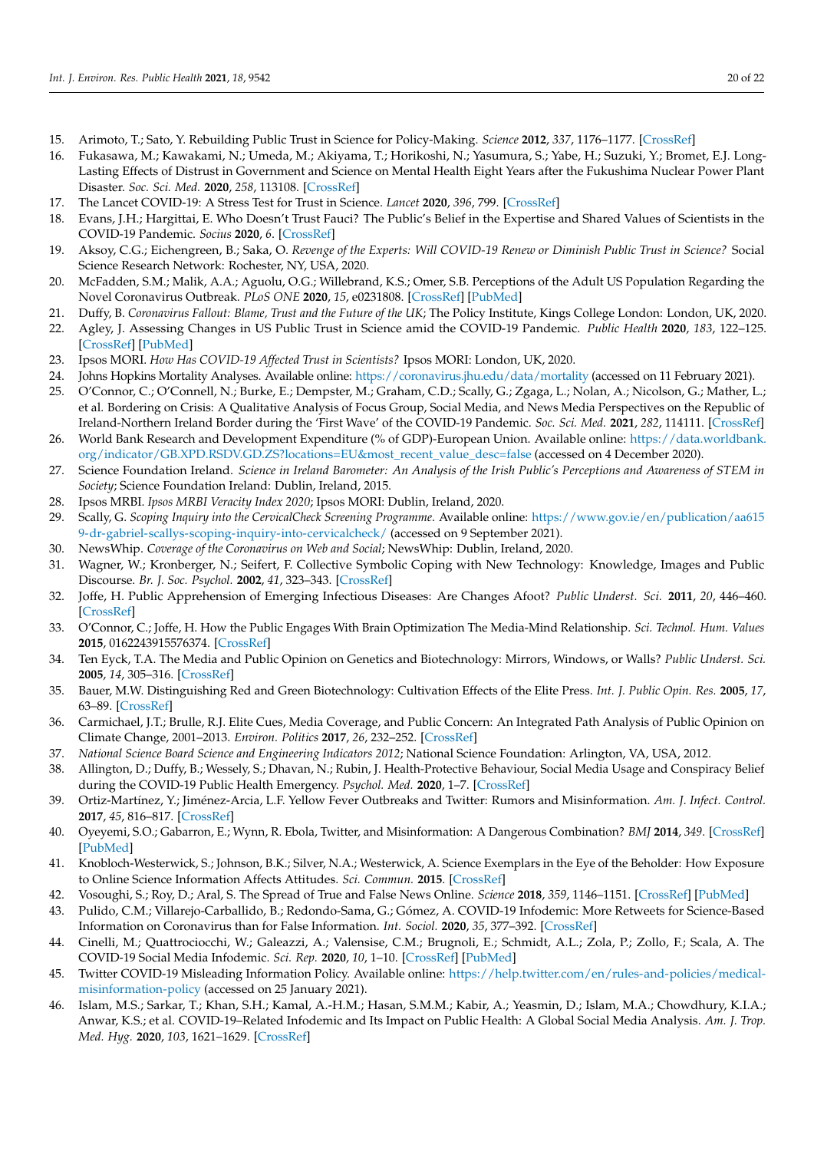- <span id="page-20-0"></span>15. Arimoto, T.; Sato, Y. Rebuilding Public Trust in Science for Policy-Making. *Science* **2012**, *337*, 1176–1177. [\[CrossRef\]](http://doi.org/10.1126/science.1224004)
- <span id="page-20-1"></span>16. Fukasawa, M.; Kawakami, N.; Umeda, M.; Akiyama, T.; Horikoshi, N.; Yasumura, S.; Yabe, H.; Suzuki, Y.; Bromet, E.J. Long-Lasting Effects of Distrust in Government and Science on Mental Health Eight Years after the Fukushima Nuclear Power Plant Disaster. *Soc. Sci. Med.* **2020**, *258*, 113108. [\[CrossRef\]](http://doi.org/10.1016/j.socscimed.2020.113108)
- <span id="page-20-2"></span>17. The Lancet COVID-19: A Stress Test for Trust in Science. *Lancet* **2020**, *396*, 799. [\[CrossRef\]](http://doi.org/10.1016/S0140-6736(20)31954-1)
- <span id="page-20-3"></span>18. Evans, J.H.; Hargittai, E. Who Doesn't Trust Fauci? The Public's Belief in the Expertise and Shared Values of Scientists in the COVID-19 Pandemic. *Socius* **2020**, *6*. [\[CrossRef\]](http://doi.org/10.1177/2378023120947337)
- <span id="page-20-4"></span>19. Aksoy, C.G.; Eichengreen, B.; Saka, O. *Revenge of the Experts: Will COVID-19 Renew or Diminish Public Trust in Science?* Social Science Research Network: Rochester, NY, USA, 2020.
- <span id="page-20-5"></span>20. McFadden, S.M.; Malik, A.A.; Aguolu, O.G.; Willebrand, K.S.; Omer, S.B. Perceptions of the Adult US Population Regarding the Novel Coronavirus Outbreak. *PLoS ONE* **2020**, *15*, e0231808. [\[CrossRef\]](http://doi.org/10.1371/journal.pone.0231808) [\[PubMed\]](http://www.ncbi.nlm.nih.gov/pubmed/32302370)
- <span id="page-20-6"></span>21. Duffy, B. *Coronavirus Fallout: Blame, Trust and the Future of the UK*; The Policy Institute, Kings College London: London, UK, 2020.
- <span id="page-20-7"></span>22. Agley, J. Assessing Changes in US Public Trust in Science amid the COVID-19 Pandemic. *Public Health* **2020**, *183*, 122–125. [\[CrossRef\]](http://doi.org/10.1016/j.puhe.2020.05.004) [\[PubMed\]](http://www.ncbi.nlm.nih.gov/pubmed/32405095)
- <span id="page-20-8"></span>23. Ipsos MORI. *How Has COVID-19 Affected Trust in Scientists?* Ipsos MORI: London, UK, 2020.
- <span id="page-20-9"></span>24. Johns Hopkins Mortality Analyses. Available online: <https://coronavirus.jhu.edu/data/mortality> (accessed on 11 February 2021).
- <span id="page-20-10"></span>25. O'Connor, C.; O'Connell, N.; Burke, E.; Dempster, M.; Graham, C.D.; Scally, G.; Zgaga, L.; Nolan, A.; Nicolson, G.; Mather, L.; et al. Bordering on Crisis: A Qualitative Analysis of Focus Group, Social Media, and News Media Perspectives on the Republic of Ireland-Northern Ireland Border during the 'First Wave' of the COVID-19 Pandemic. *Soc. Sci. Med.* **2021**, *282*, 114111. [\[CrossRef\]](http://doi.org/10.1016/j.socscimed.2021.114111)
- <span id="page-20-11"></span>26. World Bank Research and Development Expenditure (% of GDP)-European Union. Available online: [https://data.worldbank.](https://data.worldbank.org/indicator/GB.XPD.RSDV.GD.ZS?locations=EU&most_recent_value_desc=false) [org/indicator/GB.XPD.RSDV.GD.ZS?locations=EU&most\\_recent\\_value\\_desc=false](https://data.worldbank.org/indicator/GB.XPD.RSDV.GD.ZS?locations=EU&most_recent_value_desc=false) (accessed on 4 December 2020).
- <span id="page-20-12"></span>27. Science Foundation Ireland. *Science in Ireland Barometer: An Analysis of the Irish Public's Perceptions and Awareness of STEM in Society*; Science Foundation Ireland: Dublin, Ireland, 2015.
- <span id="page-20-13"></span>28. Ipsos MRBI. *Ipsos MRBI Veracity Index 2020*; Ipsos MORI: Dublin, Ireland, 2020.
- <span id="page-20-14"></span>29. Scally, G. *Scoping Inquiry into the CervicalCheck Screening Programme*. Available online: [https://www.gov.ie/en/publication/aa615](https://www.gov.ie/en/publication/aa6159-dr-gabriel-scallys-scoping-inquiry-into-cervicalcheck/) [9-dr-gabriel-scallys-scoping-inquiry-into-cervicalcheck/](https://www.gov.ie/en/publication/aa6159-dr-gabriel-scallys-scoping-inquiry-into-cervicalcheck/) (accessed on 9 September 2021).
- <span id="page-20-15"></span>30. NewsWhip. *Coverage of the Coronavirus on Web and Social*; NewsWhip: Dublin, Ireland, 2020.
- <span id="page-20-16"></span>31. Wagner, W.; Kronberger, N.; Seifert, F. Collective Symbolic Coping with New Technology: Knowledge, Images and Public Discourse. *Br. J. Soc. Psychol.* **2002**, *41*, 323–343. [\[CrossRef\]](http://doi.org/10.1348/014466602760344241)
- <span id="page-20-17"></span>32. Joffe, H. Public Apprehension of Emerging Infectious Diseases: Are Changes Afoot? *Public Underst. Sci.* **2011**, *20*, 446–460. [\[CrossRef\]](http://doi.org/10.1177/0963662510391604)
- <span id="page-20-31"></span>33. O'Connor, C.; Joffe, H. How the Public Engages With Brain Optimization The Media-Mind Relationship. *Sci. Technol. Hum. Values* **2015**, 0162243915576374. [\[CrossRef\]](http://doi.org/10.1177/0162243915576374)
- <span id="page-20-18"></span>34. Ten Eyck, T.A. The Media and Public Opinion on Genetics and Biotechnology: Mirrors, Windows, or Walls? *Public Underst. Sci.* **2005**, *14*, 305–316. [\[CrossRef\]](http://doi.org/10.1177/0963662505052888)
- <span id="page-20-19"></span>35. Bauer, M.W. Distinguishing Red and Green Biotechnology: Cultivation Effects of the Elite Press. *Int. J. Public Opin. Res.* **2005**, *17*, 63–89. [\[CrossRef\]](http://doi.org/10.1093/ijpor/edh057)
- <span id="page-20-20"></span>36. Carmichael, J.T.; Brulle, R.J. Elite Cues, Media Coverage, and Public Concern: An Integrated Path Analysis of Public Opinion on Climate Change, 2001–2013. *Environ. Politics* **2017**, *26*, 232–252. [\[CrossRef\]](http://doi.org/10.1080/09644016.2016.1263433)
- <span id="page-20-21"></span>37. *National Science Board Science and Engineering Indicators 2012*; National Science Foundation: Arlington, VA, USA, 2012.
- <span id="page-20-22"></span>38. Allington, D.; Duffy, B.; Wessely, S.; Dhavan, N.; Rubin, J. Health-Protective Behaviour, Social Media Usage and Conspiracy Belief during the COVID-19 Public Health Emergency. *Psychol. Med.* **2020**, 1–7. [\[CrossRef\]](http://doi.org/10.1017/S003329172000224X)
- <span id="page-20-23"></span>39. Ortiz-Martínez, Y.; Jiménez-Arcia, L.F. Yellow Fever Outbreaks and Twitter: Rumors and Misinformation. *Am. J. Infect. Control.* **2017**, *45*, 816–817. [\[CrossRef\]](http://doi.org/10.1016/j.ajic.2017.02.027)
- <span id="page-20-24"></span>40. Oyeyemi, S.O.; Gabarron, E.; Wynn, R. Ebola, Twitter, and Misinformation: A Dangerous Combination? *BMJ* **2014**, *349*. [\[CrossRef\]](http://doi.org/10.1136/bmj.g6178) [\[PubMed\]](http://www.ncbi.nlm.nih.gov/pubmed/25315514)
- <span id="page-20-25"></span>41. Knobloch-Westerwick, S.; Johnson, B.K.; Silver, N.A.; Westerwick, A. Science Exemplars in the Eye of the Beholder: How Exposure to Online Science Information Affects Attitudes. *Sci. Commun.* **2015**. [\[CrossRef\]](http://doi.org/10.1177/1075547015596367)
- <span id="page-20-26"></span>42. Vosoughi, S.; Roy, D.; Aral, S. The Spread of True and False News Online. *Science* **2018**, *359*, 1146–1151. [\[CrossRef\]](http://doi.org/10.1126/science.aap9559) [\[PubMed\]](http://www.ncbi.nlm.nih.gov/pubmed/29590045)
- <span id="page-20-27"></span>43. Pulido, C.M.; Villarejo-Carballido, B.; Redondo-Sama, G.; Gómez, A. COVID-19 Infodemic: More Retweets for Science-Based Information on Coronavirus than for False Information. *Int. Sociol.* **2020**, *35*, 377–392. [\[CrossRef\]](http://doi.org/10.1177/0268580920914755)
- <span id="page-20-28"></span>44. Cinelli, M.; Quattrociocchi, W.; Galeazzi, A.; Valensise, C.M.; Brugnoli, E.; Schmidt, A.L.; Zola, P.; Zollo, F.; Scala, A. The COVID-19 Social Media Infodemic. *Sci. Rep.* **2020**, *10*, 1–10. [\[CrossRef\]](http://doi.org/10.1038/s41598-020-73510-5) [\[PubMed\]](http://www.ncbi.nlm.nih.gov/pubmed/33024152)
- <span id="page-20-29"></span>45. Twitter COVID-19 Misleading Information Policy. Available online: [https://help.twitter.com/en/rules-and-policies/medical](https://help.twitter.com/en/rules-and-policies/medical-misinformation-policy)[misinformation-policy](https://help.twitter.com/en/rules-and-policies/medical-misinformation-policy) (accessed on 25 January 2021).
- <span id="page-20-30"></span>46. Islam, M.S.; Sarkar, T.; Khan, S.H.; Kamal, A.-H.M.; Hasan, S.M.M.; Kabir, A.; Yeasmin, D.; Islam, M.A.; Chowdhury, K.I.A.; Anwar, K.S.; et al. COVID-19–Related Infodemic and Its Impact on Public Health: A Global Social Media Analysis. *Am. J. Trop. Med. Hyg.* **2020**, *103*, 1621–1629. [\[CrossRef\]](http://doi.org/10.4269/ajtmh.20-0812)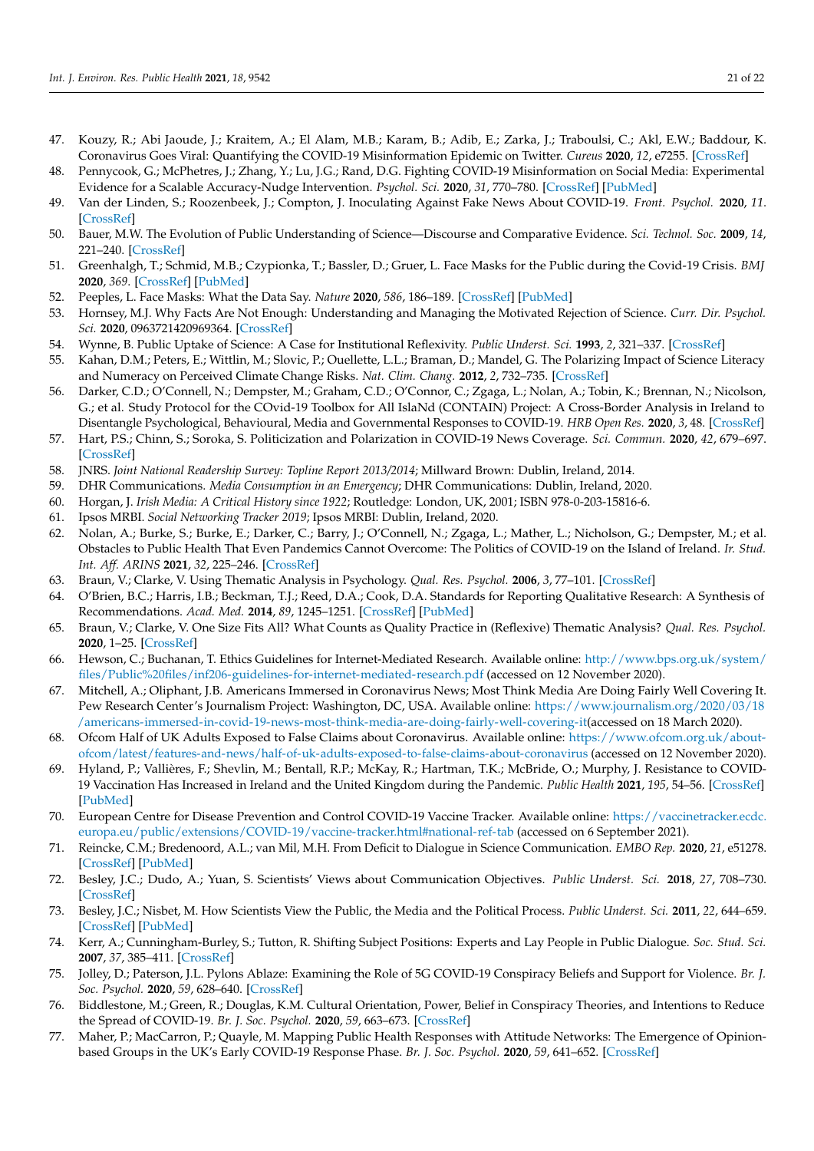- 47. Kouzy, R.; Abi Jaoude, J.; Kraitem, A.; El Alam, M.B.; Karam, B.; Adib, E.; Zarka, J.; Traboulsi, C.; Akl, E.W.; Baddour, K. Coronavirus Goes Viral: Quantifying the COVID-19 Misinformation Epidemic on Twitter. *Cureus* **2020**, *12*, e7255. [\[CrossRef\]](http://doi.org/10.7759/cureus.7255)
- 48. Pennycook, G.; McPhetres, J.; Zhang, Y.; Lu, J.G.; Rand, D.G. Fighting COVID-19 Misinformation on Social Media: Experimental Evidence for a Scalable Accuracy-Nudge Intervention. *Psychol. Sci.* **2020**, *31*, 770–780. [\[CrossRef\]](http://doi.org/10.1177/0956797620939054) [\[PubMed\]](http://www.ncbi.nlm.nih.gov/pubmed/32603243)
- <span id="page-21-0"></span>49. Van der Linden, S.; Roozenbeek, J.; Compton, J. Inoculating Against Fake News About COVID-19. *Front. Psychol.* **2020**, *11*. [\[CrossRef\]](http://doi.org/10.3389/fpsyg.2020.566790)
- <span id="page-21-1"></span>50. Bauer, M.W. The Evolution of Public Understanding of Science—Discourse and Comparative Evidence. *Sci. Technol. Soc.* **2009**, *14*, 221–240. [\[CrossRef\]](http://doi.org/10.1177/097172180901400202)
- <span id="page-21-2"></span>51. Greenhalgh, T.; Schmid, M.B.; Czypionka, T.; Bassler, D.; Gruer, L. Face Masks for the Public during the Covid-19 Crisis. *BMJ* **2020**, *369*. [\[CrossRef\]](http://doi.org/10.1136/bmj.m1435) [\[PubMed\]](http://www.ncbi.nlm.nih.gov/pubmed/32273267)
- <span id="page-21-3"></span>52. Peeples, L. Face Masks: What the Data Say. *Nature* **2020**, *586*, 186–189. [\[CrossRef\]](http://doi.org/10.1038/d41586-020-02801-8) [\[PubMed\]](http://www.ncbi.nlm.nih.gov/pubmed/33024333)
- <span id="page-21-4"></span>53. Hornsey, M.J. Why Facts Are Not Enough: Understanding and Managing the Motivated Rejection of Science. *Curr. Dir. Psychol. Sci.* **2020**, 0963721420969364. [\[CrossRef\]](http://doi.org/10.1177/0963721420969364)
- <span id="page-21-5"></span>54. Wynne, B. Public Uptake of Science: A Case for Institutional Reflexivity. *Public Underst. Sci.* **1993**, *2*, 321–337. [\[CrossRef\]](http://doi.org/10.1088/0963-6625/2/4/003)
- <span id="page-21-6"></span>55. Kahan, D.M.; Peters, E.; Wittlin, M.; Slovic, P.; Ouellette, L.L.; Braman, D.; Mandel, G. The Polarizing Impact of Science Literacy and Numeracy on Perceived Climate Change Risks. *Nat. Clim. Chang.* **2012**, *2*, 732–735. [\[CrossRef\]](http://doi.org/10.1038/nclimate1547)
- <span id="page-21-7"></span>56. Darker, C.D.; O'Connell, N.; Dempster, M.; Graham, C.D.; O'Connor, C.; Zgaga, L.; Nolan, A.; Tobin, K.; Brennan, N.; Nicolson, G.; et al. Study Protocol for the COvid-19 Toolbox for All IslaNd (CONTAIN) Project: A Cross-Border Analysis in Ireland to Disentangle Psychological, Behavioural, Media and Governmental Responses to COVID-19. *HRB Open Res.* **2020**, *3*, 48. [\[CrossRef\]](http://doi.org/10.12688/hrbopenres.13105.1)
- <span id="page-21-8"></span>57. Hart, P.S.; Chinn, S.; Soroka, S. Politicization and Polarization in COVID-19 News Coverage. *Sci. Commun.* **2020**, *42*, 679–697. [\[CrossRef\]](http://doi.org/10.1177/1075547020950735)
- <span id="page-21-9"></span>58. JNRS. *Joint National Readership Survey: Topline Report 2013/2014*; Millward Brown: Dublin, Ireland, 2014.
- <span id="page-21-10"></span>59. DHR Communications. *Media Consumption in an Emergency*; DHR Communications: Dublin, Ireland, 2020.
- <span id="page-21-11"></span>60. Horgan, J. *Irish Media: A Critical History since 1922*; Routledge: London, UK, 2001; ISBN 978-0-203-15816-6.
- <span id="page-21-12"></span>61. Ipsos MRBI. *Social Networking Tracker 2019*; Ipsos MRBI: Dublin, Ireland, 2020.
- <span id="page-21-13"></span>62. Nolan, A.; Burke, S.; Burke, E.; Darker, C.; Barry, J.; O'Connell, N.; Zgaga, L.; Mather, L.; Nicholson, G.; Dempster, M.; et al. Obstacles to Public Health That Even Pandemics Cannot Overcome: The Politics of COVID-19 on the Island of Ireland. *Ir. Stud. Int. Aff. ARINS* **2021**, *32*, 225–246. [\[CrossRef\]](http://doi.org/10.3318/isia.2021.32b.22)
- <span id="page-21-14"></span>63. Braun, V.; Clarke, V. Using Thematic Analysis in Psychology. *Qual. Res. Psychol.* **2006**, *3*, 77–101. [\[CrossRef\]](http://doi.org/10.1191/1478088706qp063oa)
- <span id="page-21-15"></span>64. O'Brien, B.C.; Harris, I.B.; Beckman, T.J.; Reed, D.A.; Cook, D.A. Standards for Reporting Qualitative Research: A Synthesis of Recommendations. *Acad. Med.* **2014**, *89*, 1245–1251. [\[CrossRef\]](http://doi.org/10.1097/ACM.0000000000000388) [\[PubMed\]](http://www.ncbi.nlm.nih.gov/pubmed/24979285)
- <span id="page-21-16"></span>65. Braun, V.; Clarke, V. One Size Fits All? What Counts as Quality Practice in (Reflexive) Thematic Analysis? *Qual. Res. Psychol.* **2020**, 1–25. [\[CrossRef\]](http://doi.org/10.1080/14780887.2020.1769238)
- <span id="page-21-17"></span>66. Hewson, C.; Buchanan, T. Ethics Guidelines for Internet-Mediated Research. Available online: [http://www.bps.org.uk/system/](http://www.bps.org.uk/system/files/Public%20files/inf206-guidelines-for-internet-mediated-research.pdf) [files/Public%20files/inf206-guidelines-for-internet-mediated-research.pdf](http://www.bps.org.uk/system/files/Public%20files/inf206-guidelines-for-internet-mediated-research.pdf) (accessed on 12 November 2020).
- <span id="page-21-18"></span>67. Mitchell, A.; Oliphant, J.B. Americans Immersed in Coronavirus News; Most Think Media Are Doing Fairly Well Covering It. Pew Research Center's Journalism Project: Washington, DC, USA. Available online: [https://www.journalism.org/2020/03/18](https://www.journalism.org/2020/03/18/americans-immersed-in-covid-19-news-most-think-media-are-doing-fairly-well-covering-it) [/americans-immersed-in-covid-19-news-most-think-media-are-doing-fairly-well-covering-it\(](https://www.journalism.org/2020/03/18/americans-immersed-in-covid-19-news-most-think-media-are-doing-fairly-well-covering-it)accessed on 18 March 2020).
- <span id="page-21-19"></span>68. Ofcom Half of UK Adults Exposed to False Claims about Coronavirus. Available online: [https://www.ofcom.org.uk/about](https://www.ofcom.org.uk/about-ofcom/latest/features-and-news/half-of-uk-adults-exposed-to-false-claims-about-coronavirus)[ofcom/latest/features-and-news/half-of-uk-adults-exposed-to-false-claims-about-coronavirus](https://www.ofcom.org.uk/about-ofcom/latest/features-and-news/half-of-uk-adults-exposed-to-false-claims-about-coronavirus) (accessed on 12 November 2020).
- <span id="page-21-20"></span>69. Hyland, P.; Vallières, F.; Shevlin, M.; Bentall, R.P.; McKay, R.; Hartman, T.K.; McBride, O.; Murphy, J. Resistance to COVID-19 Vaccination Has Increased in Ireland and the United Kingdom during the Pandemic. *Public Health* **2021**, *195*, 54–56. [\[CrossRef\]](http://doi.org/10.1016/j.puhe.2021.04.009) [\[PubMed\]](http://www.ncbi.nlm.nih.gov/pubmed/34052508)
- <span id="page-21-21"></span>70. European Centre for Disease Prevention and Control COVID-19 Vaccine Tracker. Available online: [https://vaccinetracker.ecdc.](https://vaccinetracker.ecdc.europa.eu/public/extensions/COVID-19/vaccine-tracker.html#national-ref-tab) [europa.eu/public/extensions/COVID-19/vaccine-tracker.html#national-ref-tab](https://vaccinetracker.ecdc.europa.eu/public/extensions/COVID-19/vaccine-tracker.html#national-ref-tab) (accessed on 6 September 2021).
- <span id="page-21-22"></span>71. Reincke, C.M.; Bredenoord, A.L.; van Mil, M.H. From Deficit to Dialogue in Science Communication. *EMBO Rep.* **2020**, *21*, e51278. [\[CrossRef\]](http://doi.org/10.15252/embr.202051278) [\[PubMed\]](http://www.ncbi.nlm.nih.gov/pubmed/32748995)
- <span id="page-21-23"></span>72. Besley, J.C.; Dudo, A.; Yuan, S. Scientists' Views about Communication Objectives. *Public Underst. Sci.* **2018**, *27*, 708–730. [\[CrossRef\]](http://doi.org/10.1177/0963662517728478)
- <span id="page-21-24"></span>73. Besley, J.C.; Nisbet, M. How Scientists View the Public, the Media and the Political Process. *Public Underst. Sci.* **2011**, *22*, 644–659. [\[CrossRef\]](http://doi.org/10.1177/0963662511418743) [\[PubMed\]](http://www.ncbi.nlm.nih.gov/pubmed/23885050)
- <span id="page-21-25"></span>74. Kerr, A.; Cunningham-Burley, S.; Tutton, R. Shifting Subject Positions: Experts and Lay People in Public Dialogue. *Soc. Stud. Sci.* **2007**, *37*, 385–411. [\[CrossRef\]](http://doi.org/10.1177/0306312706068492)
- <span id="page-21-26"></span>75. Jolley, D.; Paterson, J.L. Pylons Ablaze: Examining the Role of 5G COVID-19 Conspiracy Beliefs and Support for Violence. *Br. J. Soc. Psychol.* **2020**, *59*, 628–640. [\[CrossRef\]](http://doi.org/10.1111/bjso.12394)
- 76. Biddlestone, M.; Green, R.; Douglas, K.M. Cultural Orientation, Power, Belief in Conspiracy Theories, and Intentions to Reduce the Spread of COVID-19. *Br. J. Soc. Psychol.* **2020**, *59*, 663–673. [\[CrossRef\]](http://doi.org/10.1111/bjso.12397)
- <span id="page-21-27"></span>77. Maher, P.; MacCarron, P.; Quayle, M. Mapping Public Health Responses with Attitude Networks: The Emergence of Opinionbased Groups in the UK's Early COVID-19 Response Phase. *Br. J. Soc. Psychol.* **2020**, *59*, 641–652. [\[CrossRef\]](http://doi.org/10.1111/bjso.12396)